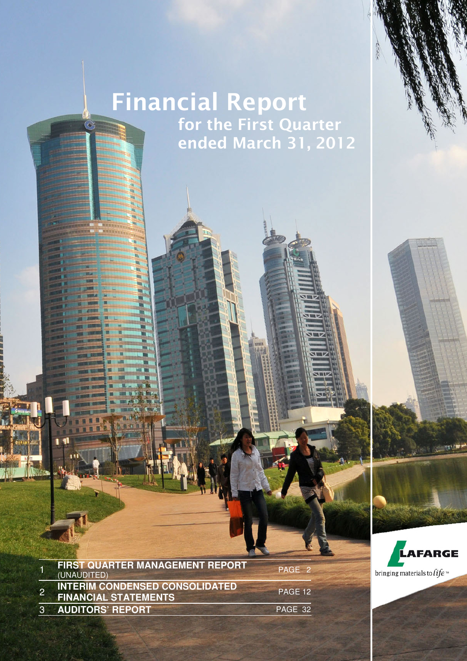# Financial Report **For the First Quarter**  $\blacksquare$  ended March 31, 2012

2012 FIRST QUARTER MANAGEMENT REPORT (UNAUDITED) **1 1**

|                | <b>FIRST QUARTER MANAGEMENT REPORT</b><br>(UNAUDITED)                | PAGE 2  |
|----------------|----------------------------------------------------------------------|---------|
|                | <b>INTERIM CONDENSED CONSOLIDATED</b><br><b>FINANCIAL STATEMENTS</b> | PAGE 12 |
| 3 <sup>1</sup> | <b>AUDITORS' REPORT</b>                                              | PAGE 32 |

LAFARGE bringing materials to  $\hat{t}$ fe

LAFARGE | FINANCIAL REPORT AT MARCH 31, 2012 | PAGE 1

 $\blacksquare$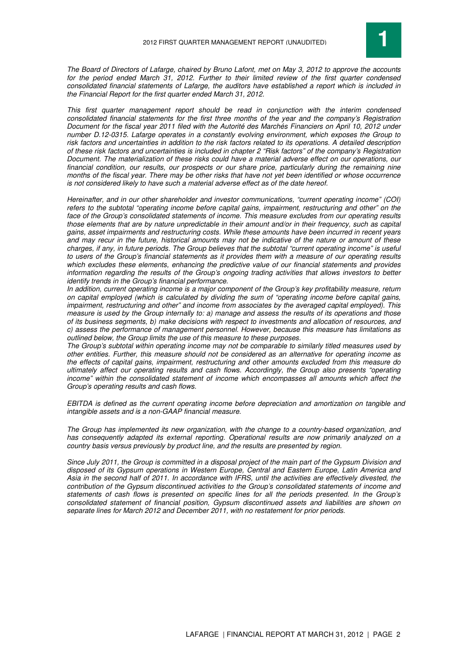

The Board of Directors of Lafarge, chaired by Bruno Lafont, met on May 3, 2012 to approve the accounts for the period ended March 31, 2012. Further to their limited review of the first quarter condensed consolidated financial statements of Lafarge, the auditors have established a report which is included in the Financial Report for the first quarter ended March 31, 2012.

This first quarter management report should be read in conjunction with the interim condensed consolidated financial statements for the first three months of the year and the company's Registration Document for the fiscal year 2011 filed with the Autorité des Marchés Financiers on April 10, 2012 under number D.12-0315. Lafarge operates in a constantly evolving environment, which exposes the Group to risk factors and uncertainties in addition to the risk factors related to its operations. A detailed description of these risk factors and uncertainties is included in chapter 2 "Risk factors" of the company's Registration Document. The materialization of these risks could have a material adverse effect on our operations, our financial condition, our results, our prospects or our share price, particularly during the remaining nine months of the fiscal year. There may be other risks that have not yet been identified or whose occurrence is not considered likely to have such a material adverse effect as of the date hereof.

Hereinafter, and in our other shareholder and investor communications, "current operating income" (COI) refers to the subtotal "operating income before capital gains, impairment, restructuring and other" on the face of the Group's consolidated statements of income. This measure excludes from our operating results those elements that are by nature unpredictable in their amount and/or in their frequency, such as capital gains, asset impairments and restructuring costs. While these amounts have been incurred in recent years and may recur in the future, historical amounts may not be indicative of the nature or amount of these charges, if any, in future periods. The Group believes that the subtotal "current operating income" is useful to users of the Group's financial statements as it provides them with a measure of our operating results which excludes these elements, enhancing the predictive value of our financial statements and provides information regarding the results of the Group's ongoing trading activities that allows investors to better identify trends in the Group's financial performance.

In addition, current operating income is a maior component of the Group's key profitability measure, return on capital employed (which is calculated by dividing the sum of "operating income before capital gains, impairment, restructuring and other" and income from associates by the averaged capital employed). This measure is used by the Group internally to: a) manage and assess the results of its operations and those of its business segments, b) make decisions with respect to investments and allocation of resources, and c) assess the performance of management personnel. However, because this measure has limitations as outlined below, the Group limits the use of this measure to these purposes.

The Group's subtotal within operating income may not be comparable to similarly titled measures used by other entities. Further, this measure should not be considered as an alternative for operating income as the effects of capital gains, impairment, restructuring and other amounts excluded from this measure do ultimately affect our operating results and cash flows. Accordingly, the Group also presents "operating income" within the consolidated statement of income which encompasses all amounts which affect the Group's operating results and cash flows.

EBITDA is defined as the current operating income before depreciation and amortization on tangible and intangible assets and is a non-GAAP financial measure.

The Group has implemented its new organization, with the change to a country-based organization, and has consequently adapted its external reporting. Operational results are now primarily analyzed on a country basis versus previously by product line, and the results are presented by region.

Since July 2011, the Group is committed in a disposal project of the main part of the Gypsum Division and disposed of its Gypsum operations in Western Europe, Central and Eastern Europe, Latin America and Asia in the second half of 2011. In accordance with IFRS, until the activities are effectively divested, the contribution of the Gypsum discontinued activities to the Group's consolidated statements of income and statements of cash flows is presented on specific lines for all the periods presented. In the Group's consolidated statement of financial position, Gypsum discontinued assets and liabilities are shown on separate lines for March 2012 and December 2011, with no restatement for prior periods.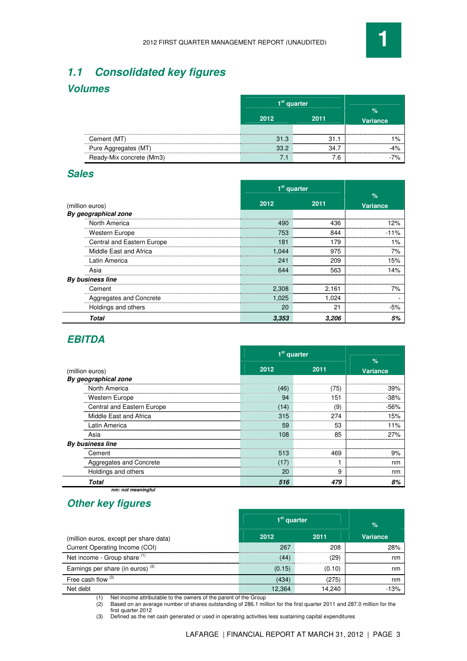

## **1.1 Consolidated key figures**

## **Volumes**

|                          | 1 <sup>st</sup> quarter |           |                 |
|--------------------------|-------------------------|-----------|-----------------|
|                          | 2012                    | 2011      | <b>Variance</b> |
| Cement (MT)              | 31.3                    |           |                 |
| Pure Aggregates (MT)     | <br>っこう                 | <u>ร4</u> |                 |
| Ready-Mix concrete (Mm3) |                         | 7.6       |                 |

## **Sales**

|                                         | 1 <sup>st</sup> quarter |       |                         |
|-----------------------------------------|-------------------------|-------|-------------------------|
| (million euros)<br>By geographical zone | 2012                    | 2011  | $\%$<br><b>Variance</b> |
| North America                           | 490                     | 436   |                         |
| Western Europe                          | 753                     | 844   | -11%                    |
| Central and Eastern Europe              | 181                     | 179   | 1%                      |
| Middle East and Africa                  | 1.044                   | 975   | 7%                      |
| Latin America                           | 241                     | 209   | 5%                      |
| Asia                                    | 644                     | 563   | 4%                      |
| By business line                        |                         |       |                         |
| Cement                                  | 2,308                   | 2,161 |                         |
| Aggregates and Concrete                 | 1,025                   | 1,024 |                         |
| Holdings and others                     | 20                      | 21    | -5%                     |
| <b>Total</b>                            | 3,353                   | 3,206 | 5%                      |

## **EBITDA**

|                                         | 1 <sup>st</sup> quarter |      |                         |
|-----------------------------------------|-------------------------|------|-------------------------|
| (million euros)<br>By geographical zone | 2012                    | 2011 | $\%$<br><b>Variance</b> |
| North America                           | (46)                    | 75)  | 39%                     |
| Western Europe                          | 94                      | 151  | -38%                    |
| Central and Eastern Europe              | 14)                     | (9   | .56%                    |
| Middle East and Africa                  | 315                     | 274  | 15%                     |
| Latin America                           | 59                      | 53   | $1\%$                   |
| Asia                                    | 108                     | 85   | 27%                     |
| <b>By business line</b>                 |                         |      |                         |
| Cement                                  | 513                     | 469  |                         |
| Aggregates and Concrete                 | $\frac{1}{2}$           |      | nm                      |
| Holdings and others                     | 20                      | 9    | nm                      |
| <b>Total</b>                            | 516                     | 479  | 8%                      |

 **nm: not meaningful** 

## **Other key figures**

|                                        |        | 1 <sup>st</sup> quarter | %               |
|----------------------------------------|--------|-------------------------|-----------------|
| (million euros, except per share data) | 2012   | 2011                    | <b>Variance</b> |
| Current Operating Income (COI)         | 267    | 208                     | 28%             |
| Net income - Group share (1)           | (44)   | 29)                     | nm              |
| Earnings per share (in euros) $(2)$    | (0.15) | (0.10)                  | nm              |
| Free cash flow $(3)$                   | (434)  | (275)                   | nm              |
| Net debt                               | 12.364 | 14.240                  | $-1.3%$         |

(1) Net income attributable to the owners of the parent of the Group

(2) Based on an average number of shares outstanding of 286.1 million for the first quarter 2011 and 287.0 million for the first quarter 2012

(3) Defined as the net cash generated or used in operating activities less sustaining capital expenditures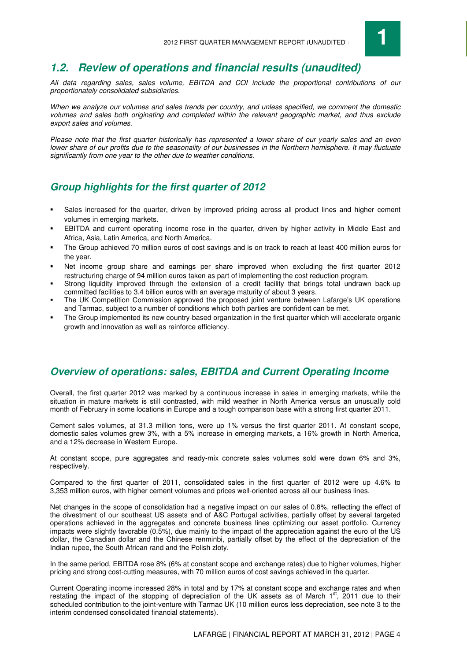

## **1.2. Review of operations and financial results (unaudited)**

All data regarding sales, sales volume, EBITDA and COI include the proportional contributions of our proportionately consolidated subsidiaries.

When we analyze our volumes and sales trends per country, and unless specified, we comment the domestic volumes and sales both originating and completed within the relevant geographic market, and thus exclude export sales and volumes.

Please note that the first quarter historically has represented a lower share of our yearly sales and an even lower share of our profits due to the seasonality of our businesses in the Northern hemisphere. It may fluctuate significantly from one year to the other due to weather conditions.

## **Group highlights for the first quarter of 2012**

- Sales increased for the quarter, driven by improved pricing across all product lines and higher cement volumes in emerging markets.
- EBITDA and current operating income rose in the quarter, driven by higher activity in Middle East and Africa, Asia, Latin America, and North America.
- The Group achieved 70 million euros of cost savings and is on track to reach at least 400 million euros for the year.
- Net income group share and earnings per share improved when excluding the first quarter 2012 restructuring charge of 94 million euros taken as part of implementing the cost reduction program.
- Strong liquidity improved through the extension of a credit facility that brings total undrawn back-up committed facilities to 3.4 billion euros with an average maturity of about 3 years.
- The UK Competition Commission approved the proposed joint venture between Lafarge's UK operations and Tarmac, subject to a number of conditions which both parties are confident can be met.
- The Group implemented its new country-based organization in the first quarter which will accelerate organic growth and innovation as well as reinforce efficiency.

## **Overview of operations: sales, EBITDA and Current Operating Income**

Overall, the first quarter 2012 was marked by a continuous increase in sales in emerging markets, while the situation in mature markets is still contrasted, with mild weather in North America versus an unusually cold month of February in some locations in Europe and a tough comparison base with a strong first quarter 2011.

Cement sales volumes, at 31.3 million tons, were up 1% versus the first quarter 2011. At constant scope, domestic sales volumes grew 3%, with a 5% increase in emerging markets, a 16% growth in North America, and a 12% decrease in Western Europe.

At constant scope, pure aggregates and ready-mix concrete sales volumes sold were down 6% and 3%, respectively.

Compared to the first quarter of 2011, consolidated sales in the first quarter of 2012 were up 4.6% to 3,353 million euros, with higher cement volumes and prices well-oriented across all our business lines.

Net changes in the scope of consolidation had a negative impact on our sales of 0.8%, reflecting the effect of the divestment of our southeast US assets and of A&C Portugal activities, partially offset by several targeted operations achieved in the aggregates and concrete business lines optimizing our asset portfolio. Currency impacts were slightly favorable (0.5%), due mainly to the impact of the appreciation against the euro of the US dollar, the Canadian dollar and the Chinese renminbi, partially offset by the effect of the depreciation of the Indian rupee, the South African rand and the Polish zloty.

In the same period, EBITDA rose 8% (6% at constant scope and exchange rates) due to higher volumes, higher pricing and strong cost-cutting measures, with 70 million euros of cost savings achieved in the quarter.

Current Operating income increased 28% in total and by 17% at constant scope and exchange rates and when restating the impact of the stopping of depreciation of the UK assets as of March  $1<sup>st</sup>$ , 2011 due to their scheduled contribution to the joint-venture with Tarmac UK (10 million euros less depreciation, see note 3 to the interim condensed consolidated financial statements).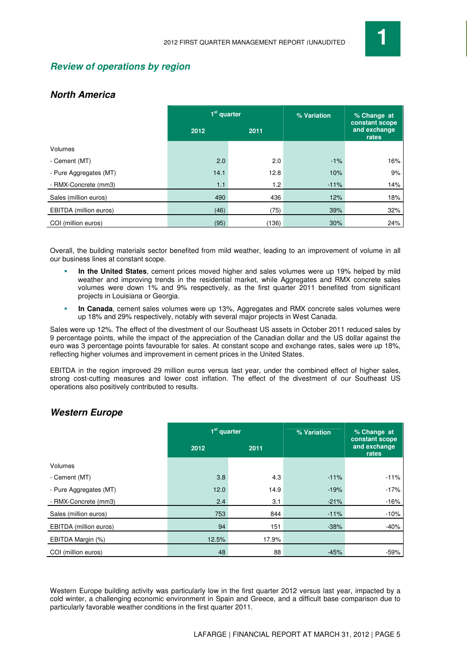

## **Review of operations by region**

## **North America**

|                        | 1 <sup>st</sup> quarter |       | % Variation | % Change at                             |
|------------------------|-------------------------|-------|-------------|-----------------------------------------|
|                        | 2012                    | 2011  |             | constant scope<br>and exchange<br>rates |
| Volumes                |                         |       |             |                                         |
| - Cement (MT)          | 2.0                     | 2.0   | $-1%$       | 16%                                     |
| - Pure Aggregates (MT) | 14.1                    | 12.8  | 10%         | 9%                                      |
| - RMX-Concrete (mm3)   | 1.1                     | 1.2   | $-11%$      | 14%                                     |
| Sales (million euros)  | 490                     | 436   | 12%         | 18%                                     |
| EBITDA (million euros) | (46)                    | (75)  | 39%         | 32%                                     |
| COI (million euros)    | (95)                    | (136) | 30%         | 24%                                     |

Overall, the building materials sector benefited from mild weather, leading to an improvement of volume in all our business lines at constant scope.

- **In the United States**, cement prices moved higher and sales volumes were up 19% helped by mild weather and improving trends in the residential market, while Aggregates and RMX concrete sales volumes were down 1% and 9% respectively, as the first quarter 2011 benefited from significant projects in Louisiana or Georgia.
- **In Canada**, cement sales volumes were up 13%, Aggregates and RMX concrete sales volumes were up 18% and 29% respectively, notably with several major projects in West Canada.

Sales were up 12%. The effect of the divestment of our Southeast US assets in October 2011 reduced sales by 9 percentage points, while the impact of the appreciation of the Canadian dollar and the US dollar against the euro was 3 percentage points favourable for sales. At constant scope and exchange rates, sales were up 18%, reflecting higher volumes and improvement in cement prices in the United States.

EBITDA in the region improved 29 million euros versus last year, under the combined effect of higher sales, strong cost-cutting measures and lower cost inflation. The effect of the divestment of our Southeast US operations also positively contributed to results.

## **Western Europe**

|                        | 1 <sup>st</sup> quarter |       | % Variation | % Change at<br>constant scope |
|------------------------|-------------------------|-------|-------------|-------------------------------|
|                        | 2012                    | 2011  |             | and exchange<br>rates         |
| Volumes                |                         |       |             |                               |
| - Cement (MT)          | 3.8                     | 4.3   | $-11%$      | $-11%$                        |
| - Pure Aggregates (MT) | 12.0                    | 14.9  | $-19%$      | $-17%$                        |
| - RMX-Concrete (mm3)   | 2.4                     | 3.1   | $-21%$      | $-16%$                        |
| Sales (million euros)  | 753                     | 844   | $-11%$      | $-10%$                        |
| EBITDA (million euros) | 94                      | 151   | $-38%$      | $-40%$                        |
| EBITDA Margin (%)      | 12.5%                   | 17.9% |             |                               |
| COI (million euros)    | 48                      | 88    | $-45%$      | $-59%$                        |

Western Europe building activity was particularly low in the first quarter 2012 versus last year, impacted by a cold winter, a challenging economic environment in Spain and Greece, and a difficult base comparison due to particularly favorable weather conditions in the first quarter 2011.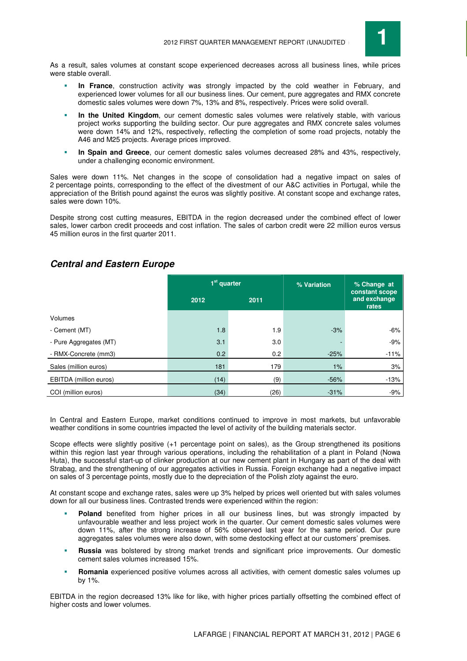

As a result, sales volumes at constant scope experienced decreases across all business lines, while prices were stable overall.

- **In France**, construction activity was strongly impacted by the cold weather in February, and experienced lower volumes for all our business lines. Our cement, pure aggregates and RMX concrete domestic sales volumes were down 7%, 13% and 8%, respectively. Prices were solid overall.
- **In the United Kingdom**, our cement domestic sales volumes were relatively stable, with various project works supporting the building sector. Our pure aggregates and RMX concrete sales volumes were down 14% and 12%, respectively, reflecting the completion of some road projects, notably the A46 and M25 projects. Average prices improved.
- **In Spain and Greece**, our cement domestic sales volumes decreased 28% and 43%, respectively, under a challenging economic environment.

Sales were down 11%. Net changes in the scope of consolidation had a negative impact on sales of 2 percentage points, corresponding to the effect of the divestment of our A&C activities in Portugal, while the appreciation of the British pound against the euros was slightly positive. At constant scope and exchange rates, sales were down 10%.

Despite strong cost cutting measures, EBITDA in the region decreased under the combined effect of lower sales, lower carbon credit proceeds and cost inflation. The sales of carbon credit were 22 million euros versus 45 million euros in the first quarter 2011.

|                        | 1 <sup>st</sup> quarter |      | % Variation | % Change at<br>constant scope |
|------------------------|-------------------------|------|-------------|-------------------------------|
|                        | 2012                    | 2011 |             | and exchange<br>rates         |
| Volumes                |                         |      |             |                               |
| - Cement (MT)          | 1.8                     | 1.9  | $-3%$       | -6%                           |
| - Pure Aggregates (MT) | 3.1                     | 3.0  |             | $-9%$                         |
| - RMX-Concrete (mm3)   | 0.2                     | 0.2  | $-25%$      | $-11%$                        |
| Sales (million euros)  | 181                     | 179  | 1%          | 3%                            |
| EBITDA (million euros) | (14)                    | (9)  | $-56%$      | $-13%$                        |
| COI (million euros)    | (34)                    | (26) | $-31%$      | $-9%$                         |

## **Central and Eastern Europe**

In Central and Eastern Europe, market conditions continued to improve in most markets, but unfavorable weather conditions in some countries impacted the level of activity of the building materials sector.

Scope effects were slightly positive (+1 percentage point on sales), as the Group strengthened its positions within this region last year through various operations, including the rehabilitation of a plant in Poland (Nowa Huta), the successful start-up of clinker production at our new cement plant in Hungary as part of the deal with Strabag, and the strengthening of our aggregates activities in Russia. Foreign exchange had a negative impact on sales of 3 percentage points, mostly due to the depreciation of the Polish zloty against the euro.

At constant scope and exchange rates, sales were up 3% helped by prices well oriented but with sales volumes down for all our business lines. Contrasted trends were experienced within the region:

- **Poland** benefited from higher prices in all our business lines, but was strongly impacted by unfavourable weather and less project work in the quarter. Our cement domestic sales volumes were down 11%, after the strong increase of 56% observed last year for the same period. Our pure aggregates sales volumes were also down, with some destocking effect at our customers' premises.
- **Russia** was bolstered by strong market trends and significant price improvements. Our domestic cement sales volumes increased 15%.
- **Romania** experienced positive volumes across all activities, with cement domestic sales volumes up by 1%.

EBITDA in the region decreased 13% like for like, with higher prices partially offsetting the combined effect of higher costs and lower volumes.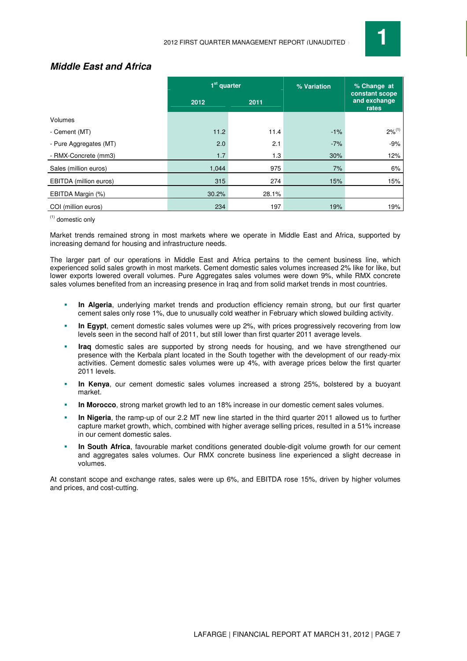

## **Middle East and Africa**

|                        | $1st$ quarter |       | % Variation | % Change at<br>constant scope |
|------------------------|---------------|-------|-------------|-------------------------------|
|                        | 2012          | 2011  |             | and exchange<br>rates         |
| Volumes                |               |       |             |                               |
| - Cement (MT)          | 11.2          | 11.4  | $-1%$       | $2\%^{(1)}$                   |
| - Pure Aggregates (MT) | 2.0           | 2.1   | $-7%$       | $-9%$                         |
| - RMX-Concrete (mm3)   | 1.7           | 1.3   | 30%         | 12%                           |
| Sales (million euros)  | 1,044         | 975   | 7%          | 6%                            |
| EBITDA (million euros) | 315           | 274   | 15%         | 15%                           |
| EBITDA Margin (%)      | 30.2%         | 28.1% |             |                               |
| COI (million euros)    | 234           | 197   | 19%         | 19%                           |

(1) domestic only

Market trends remained strong in most markets where we operate in Middle East and Africa, supported by increasing demand for housing and infrastructure needs.

The larger part of our operations in Middle East and Africa pertains to the cement business line, which experienced solid sales growth in most markets. Cement domestic sales volumes increased 2% like for like, but lower exports lowered overall volumes. Pure Aggregates sales volumes were down 9%, while RMX concrete sales volumes benefited from an increasing presence in Iraq and from solid market trends in most countries.

- **In Algeria**, underlying market trends and production efficiency remain strong, but our first quarter cement sales only rose 1%, due to unusually cold weather in February which slowed building activity.
- **In Egypt**, cement domestic sales volumes were up 2%, with prices progressively recovering from low levels seen in the second half of 2011, but still lower than first quarter 2011 average levels.
- **Iraq** domestic sales are supported by strong needs for housing, and we have strengthened our presence with the Kerbala plant located in the South together with the development of our ready-mix activities. Cement domestic sales volumes were up 4%, with average prices below the first quarter 2011 levels.
- **In Kenya**, our cement domestic sales volumes increased a strong 25%, bolstered by a buoyant market.
- **In Morocco**, strong market growth led to an 18% increase in our domestic cement sales volumes.
- **In Nigeria**, the ramp-up of our 2.2 MT new line started in the third quarter 2011 allowed us to further capture market growth, which, combined with higher average selling prices, resulted in a 51% increase in our cement domestic sales.
- **In South Africa**, favourable market conditions generated double-digit volume growth for our cement and aggregates sales volumes. Our RMX concrete business line experienced a slight decrease in volumes.

At constant scope and exchange rates, sales were up 6%, and EBITDA rose 15%, driven by higher volumes and prices, and cost-cutting.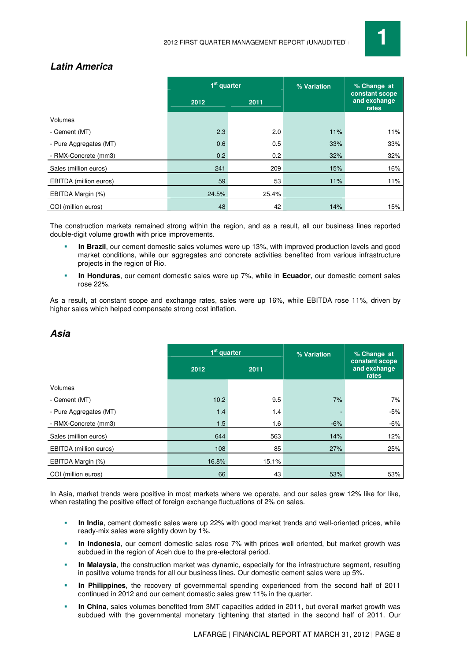

## **Latin America**

|                        | $1st$ quarter |       | % Variation | % Change at<br>constant scope |
|------------------------|---------------|-------|-------------|-------------------------------|
|                        | 2012          | 2011  |             | and exchange<br>rates         |
| Volumes                |               |       |             |                               |
| - Cement (MT)          | 2.3           | 2.0   | 11%         | 11%                           |
| - Pure Aggregates (MT) | 0.6           | 0.5   | 33%         | 33%                           |
| - RMX-Concrete (mm3)   | 0.2           | 0.2   | 32%         | 32%                           |
| Sales (million euros)  | 241           | 209   | 15%         | 16%                           |
| EBITDA (million euros) | 59            | 53    | 11%         | 11%                           |
| EBITDA Margin (%)      | 24.5%         | 25.4% |             |                               |
| COI (million euros)    | 48            | 42    | 14%         | 15%                           |

The construction markets remained strong within the region, and as a result, all our business lines reported double-digit volume growth with price improvements.

 **In Brazil**, our cement domestic sales volumes were up 13%, with improved production levels and good market conditions, while our aggregates and concrete activities benefited from various infrastructure projects in the region of Rio.

 **In Honduras**, our cement domestic sales were up 7%, while in **Ecuador**, our domestic cement sales rose 22%.

As a result, at constant scope and exchange rates, sales were up 16%, while EBITDA rose 11%, driven by higher sales which helped compensate strong cost inflation.

|                        | 1 <sup>st</sup> quarter |       | % Variation | % Change at                             |
|------------------------|-------------------------|-------|-------------|-----------------------------------------|
|                        | 2012                    | 2011  |             | constant scope<br>and exchange<br>rates |
| Volumes                |                         |       |             |                                         |
| - Cement (MT)          | 10.2                    | 9.5   | 7%          | 7%                                      |
| - Pure Aggregates (MT) | 1.4                     | 1.4   |             | $-5%$                                   |
| - RMX-Concrete (mm3)   | 1.5                     | 1.6   | $-6%$       | $-6%$                                   |
| Sales (million euros)  | 644                     | 563   | 14%         | 12%                                     |
| EBITDA (million euros) | 108                     | 85    | 27%         | 25%                                     |
| EBITDA Margin (%)      | 16.8%                   | 15.1% |             |                                         |
| COI (million euros)    | 66                      | 43    | 53%         | 53%                                     |

## **Asia**

In Asia, market trends were positive in most markets where we operate, and our sales grew 12% like for like, when restating the positive effect of foreign exchange fluctuations of 2% on sales.

- **In India**, cement domestic sales were up 22% with good market trends and well-oriented prices, while ready-mix sales were slightly down by 1%.
- **In Indonesia**, our cement domestic sales rose 7% with prices well oriented, but market growth was subdued in the region of Aceh due to the pre-electoral period.
- **In Malaysia**, the construction market was dynamic, especially for the infrastructure segment, resulting in positive volume trends for all our business lines. Our domestic cement sales were up 5%.
- **In Philippines**, the recovery of governmental spending experienced from the second half of 2011 continued in 2012 and our cement domestic sales grew 11% in the quarter.
- **In China**, sales volumes benefited from 3MT capacities added in 2011, but overall market growth was subdued with the governmental monetary tightening that started in the second half of 2011. Our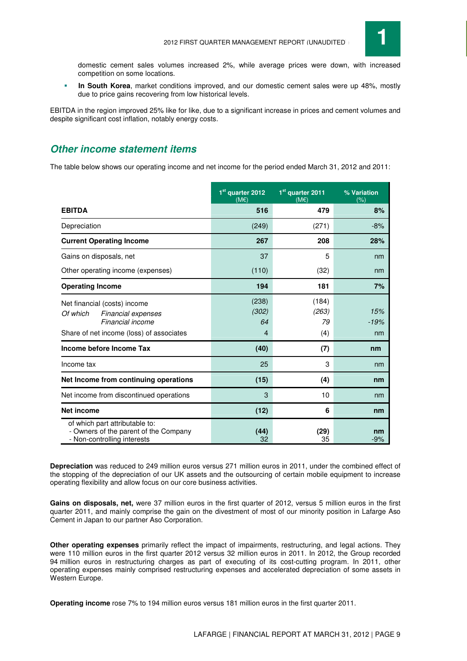

domestic cement sales volumes increased 2%, while average prices were down, with increased competition on some locations.

 **In South Korea**, market conditions improved, and our domestic cement sales were up 48%, mostly due to price gains recovering from low historical levels.

EBITDA in the region improved 25% like for like, due to a significant increase in prices and cement volumes and despite significant cost inflation, notably energy costs.

## **Other income statement items**

The table below shows our operating income and net income for the period ended March 31, 2012 and 2011:

|                                                                                                                                       | 1 <sup>st</sup> quarter 2012<br>$(M \in )$ | 1 <sup>st</sup> quarter 2011<br>$(M \in \mathcal{E})$ | % Variation<br>(% ) |
|---------------------------------------------------------------------------------------------------------------------------------------|--------------------------------------------|-------------------------------------------------------|---------------------|
| <b>EBITDA</b>                                                                                                                         | 516                                        | 479                                                   | 8%                  |
| Depreciation                                                                                                                          | (249)                                      | (271)                                                 | $-8%$               |
| <b>Current Operating Income</b>                                                                                                       | 267                                        | 208                                                   | 28%                 |
| Gains on disposals, net                                                                                                               | 37                                         | 5                                                     | nm                  |
| Other operating income (expenses)                                                                                                     | (110)                                      | (32)                                                  | nm                  |
| <b>Operating Income</b>                                                                                                               | 194                                        | 181                                                   | 7%                  |
| Net financial (costs) income<br>Of which<br><b>Financial expenses</b><br>Financial income<br>Share of net income (loss) of associates | (238)<br>(302)<br>64<br>4                  | (184)<br>(263)<br>79<br>(4)                           | 15%<br>$-19%$<br>nm |
| Income before Income Tax                                                                                                              | (40)                                       | (7)                                                   | nm                  |
| Income tax                                                                                                                            | 25                                         | 3                                                     | nm                  |
| Net Income from continuing operations                                                                                                 | (15)                                       | (4)                                                   | nm                  |
| Net income from discontinued operations                                                                                               | 3                                          | 10                                                    | nm                  |
| <b>Net income</b>                                                                                                                     | (12)                                       | 6                                                     | nm                  |
| of which part attributable to:<br>- Owners of the parent of the Company<br>- Non-controlling interests                                | (44)<br>32                                 | (29)<br>35                                            | nm<br>$-9%$         |

**Depreciation** was reduced to 249 million euros versus 271 million euros in 2011, under the combined effect of the stopping of the depreciation of our UK assets and the outsourcing of certain mobile equipment to increase operating flexibility and allow focus on our core business activities.

**Gains on disposals, net,** were 37 million euros in the first quarter of 2012, versus 5 million euros in the first quarter 2011, and mainly comprise the gain on the divestment of most of our minority position in Lafarge Aso Cement in Japan to our partner Aso Corporation.

**Other operating expenses** primarily reflect the impact of impairments, restructuring, and legal actions. They were 110 million euros in the first quarter 2012 versus 32 million euros in 2011. In 2012, the Group recorded 94 million euros in restructuring charges as part of executing of its cost-cutting program. In 2011, other operating expenses mainly comprised restructuring expenses and accelerated depreciation of some assets in Western Europe.

**Operating income** rose 7% to 194 million euros versus 181 million euros in the first quarter 2011.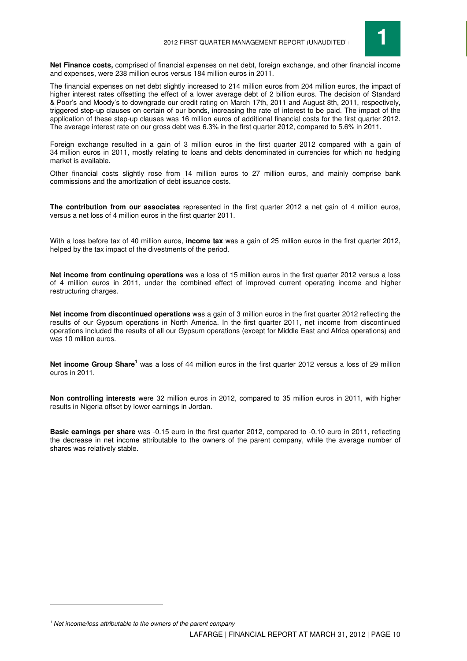

**Net Finance costs,** comprised of financial expenses on net debt, foreign exchange, and other financial income and expenses, were 238 million euros versus 184 million euros in 2011.

The financial expenses on net debt slightly increased to 214 million euros from 204 million euros, the impact of higher interest rates offsetting the effect of a lower average debt of 2 billion euros. The decision of Standard & Poor's and Moody's to downgrade our credit rating on March 17th, 2011 and August 8th, 2011, respectively, triggered step-up clauses on certain of our bonds, increasing the rate of interest to be paid. The impact of the application of these step-up clauses was 16 million euros of additional financial costs for the first quarter 2012. The average interest rate on our gross debt was 6.3% in the first quarter 2012, compared to 5.6% in 2011.

Foreign exchange resulted in a gain of 3 million euros in the first quarter 2012 compared with a gain of 34 million euros in 2011, mostly relating to loans and debts denominated in currencies for which no hedging market is available.

Other financial costs slightly rose from 14 million euros to 27 million euros, and mainly comprise bank commissions and the amortization of debt issuance costs.

**The contribution from our associates** represented in the first quarter 2012 a net gain of 4 million euros, versus a net loss of 4 million euros in the first quarter 2011.

With a loss before tax of 40 million euros, **income tax** was a gain of 25 million euros in the first quarter 2012, helped by the tax impact of the divestments of the period.

**Net income from continuing operations** was a loss of 15 million euros in the first quarter 2012 versus a loss of 4 million euros in 2011, under the combined effect of improved current operating income and higher restructuring charges.

**Net income from discontinued operations** was a gain of 3 million euros in the first quarter 2012 reflecting the results of our Gypsum operations in North America. In the first quarter 2011, net income from discontinued operations included the results of all our Gypsum operations (except for Middle East and Africa operations) and was 10 million euros.

Net income Group Share<sup>1</sup> was a loss of 44 million euros in the first quarter 2012 versus a loss of 29 million euros in 2011.

**Non controlling interests** were 32 million euros in 2012, compared to 35 million euros in 2011, with higher results in Nigeria offset by lower earnings in Jordan.

**Basic earnings per share** was -0.15 euro in the first quarter 2012, compared to -0.10 euro in 2011, reflecting the decrease in net income attributable to the owners of the parent company, while the average number of shares was relatively stable.

 $\overline{a}$ 

 $<sup>1</sup>$  Net income/loss attributable to the owners of the parent company</sup>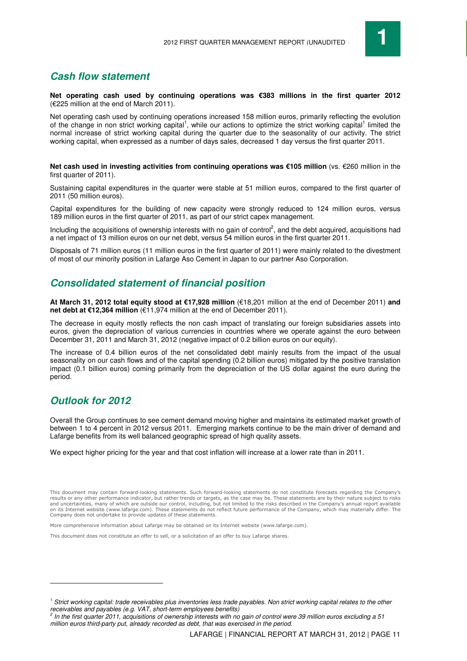

## **Cash flow statement**

**Net operating cash used by continuing operations was €383 millions in the first quarter 2012** (€225 million at the end of March 2011).

Net operating cash used by continuing operations increased 158 million euros, primarily reflecting the evolution of the change in non strict working capital<sup>1</sup>, while our actions to optimize the strict working capital<sup>1</sup> limited the normal increase of strict working capital during the quarter due to the seasonality of our activity. The strict working capital, when expressed as a number of days sales, decreased 1 day versus the first quarter 2011.

**Net cash used in investing activities from continuing operations was €105 million** (vs. €260 million in the first quarter of 2011).

Sustaining capital expenditures in the quarter were stable at 51 million euros, compared to the first quarter of 2011 (50 million euros).

Capital expenditures for the building of new capacity were strongly reduced to 124 million euros, versus 189 million euros in the first quarter of 2011, as part of our strict capex management.

Including the acquisitions of ownership interests with no gain of control<sup>2</sup>, and the debt acquired, acquisitions had a net impact of 13 million euros on our net debt, versus 54 million euros in the first quarter 2011.

Disposals of 71 million euros (11 million euros in the first quarter of 2011) were mainly related to the divestment of most of our minority position in Lafarge Aso Cement in Japan to our partner Aso Corporation.

## **Consolidated statement of financial position**

**At March 31, 2012 total equity stood at €17,928 million** (€18,201 million at the end of December 2011) **and net debt at €12,364 million** (€11,974 million at the end of December 2011).

The decrease in equity mostly reflects the non cash impact of translating our foreign subsidiaries assets into euros, given the depreciation of various currencies in countries where we operate against the euro between December 31, 2011 and March 31, 2012 (negative impact of 0.2 billion euros on our equity).

The increase of 0.4 billion euros of the net consolidated debt mainly results from the impact of the usual seasonality on our cash flows and of the capital spending (0.2 billion euros) mitigated by the positive translation impact (0.1 billion euros) coming primarily from the depreciation of the US dollar against the euro during the period.

## **Outlook for 2012**

 $\overline{a}$ 

Overall the Group continues to see cement demand moving higher and maintains its estimated market growth of between 1 to 4 percent in 2012 versus 2011. Emerging markets continue to be the main driver of demand and Lafarge benefits from its well balanced geographic spread of high quality assets.

We expect higher pricing for the year and that cost inflation will increase at a lower rate than in 2011.

More comprehensive information about Lafarge may be obtained on its Internet website (www.lafarge.com).

This document does not constitute an offer to sell, or a solicitation of an offer to buy Lafarge shares.

This document may contain forward-looking statements. Such forward-looking statements do not constitute forecasts regarding the Company's results or any other performance indicator, but rather trends or targets, as the case may be. These statements are by their nature subject to risks and uncertainties, many of which are outside our control, including, but not limited to the risks described in the Company's annual report available on its Internet website (www.lafarge.com). These statements do not reflect future performance of the Company, which may materially differ. The Company does not undertake to provide updates of these statements.

<sup>&</sup>lt;sup>1</sup> Strict working capital: trade receivables plus inventories less trade payables. Non strict working capital relates to the other

receivables and payables (e.g. VAT, short-term employees benefits)<br><sup>2</sup> In the first quarter 2011, acquisitions of ownership interests with no gain of control were 39 million euros excluding a 51 million euros third-party put, already recorded as debt, that was exercised in the period.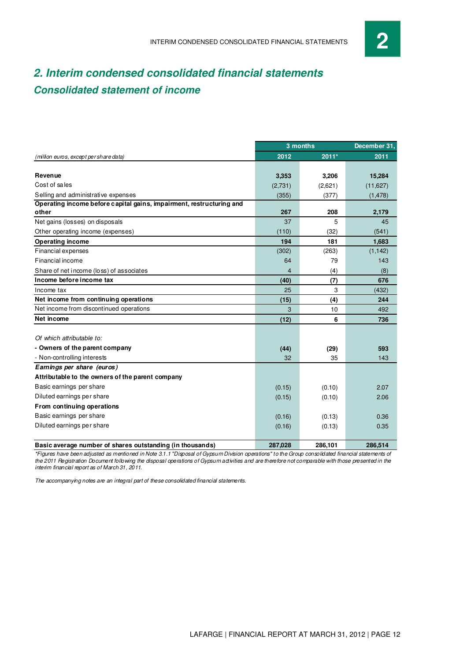## **2. Interim condensed consolidated financial statements Consolidated statement of income**

|                                                                      |                | 3 months | December 31, |
|----------------------------------------------------------------------|----------------|----------|--------------|
| (million euros, except per share data)                               | 2012           | $2011*$  | 2011         |
|                                                                      |                |          |              |
| Revenue                                                              | 3,353          | 3,206    | 15,284       |
| Cost of sales                                                        | (2,731)        | (2,621)  | (11, 627)    |
| Selling and administrative expenses                                  | (355)          | (377)    | (1, 478)     |
| Operating income before capital gains, impairment, restructuring and |                |          |              |
| other                                                                | 267            | 208      | 2,179        |
| Net gains (losses) on disposals                                      | 37             | 5        | 45           |
| Other operating income (expenses)                                    | (110)          | (32)     | (541)        |
| <b>Operating income</b>                                              | 194            | 181      | 1,683        |
| Financial expenses                                                   | (302)          | (263)    | (1, 142)     |
| Financial income                                                     | 64             | 79       | 143          |
| Share of net income (loss) of associates                             | $\overline{4}$ | (4)      | (8)          |
| Income before income tax                                             | (40)           | (7)      | 676          |
| Income tax                                                           | 25             | 3        | (432)        |
| Net income from continuing operations                                | (15)           | (4)      | 244          |
| Net income from discontinued operations                              | 3              | 10       | 492          |
| Net income                                                           | (12)           | 6        | 736          |
|                                                                      |                |          |              |
| Of which attributable to:                                            |                |          |              |
| - Owners of the parent company                                       | (44)           | (29)     | 593          |
| - Non-controlling interests                                          | 32             | 35       | 143          |
| Earnings per share (euros)                                           |                |          |              |
| Attributable to the owners of the parent company                     |                |          |              |
| Basic earnings per share                                             | (0.15)         | (0.10)   | 2.07         |
| Diluted earnings per share                                           | (0.15)         | (0.10)   | 2.06         |
| From continuing operations                                           |                |          |              |
| Basic earnings per share                                             | (0.16)         | (0.13)   | 0.36         |
| Diluted earnings per share                                           | (0.16)         | (0.13)   | 0.35         |
|                                                                      |                |          |              |
| Basic average number of shares outstanding (in thousands)            | 287,028        | 286.101  | 286.514      |

\*Figures have been adjusted as mentioned in Note 3.1.1 "Disposal of Gypsum Division operations" to the Group consolidated financial statements of the 2011 Registration Document following the disposal operations of Gypsum activities and are therefore not comparable with those presented in the interim financial report as of March 31, 2011.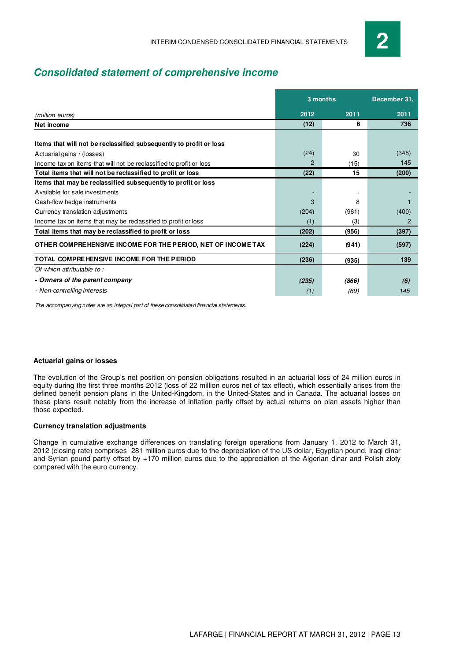## **Consolidated statement of comprehensive income**

|                                                                     |       | 3 months | December 31, |
|---------------------------------------------------------------------|-------|----------|--------------|
|                                                                     |       |          |              |
| (million euros)                                                     | 2012  | 2011     | 2011         |
| Net income                                                          | (12)  | 6        | 736          |
|                                                                     |       |          |              |
| Items that will not be reclassified subsequently to profit or loss  |       |          |              |
| Actuarial gains / (losses)                                          | (24)  | 30       | (345)        |
| Income tax on items that will not be reclassified to profit or loss | 2     | (15)     | 145          |
| Total items that will not be reclassified to profit or loss         | (22)  | 15       | (200)        |
| Items that may be reclassified subsequently to profit or loss       |       |          |              |
| Available for sale investments                                      |       |          |              |
| Cash-flow hedge instruments                                         | 3     | 8        |              |
| Currency translation adjustments                                    | (204) | (961)    | (400)        |
| Income tax on items that may be reclassified to profit or loss      | (1)   | (3)      | 2            |
| Total items that may be reclassified to profit or loss              | (202) | (956)    | (397)        |
| OTHER COMPREHENSIVE INCOME FOR THE PERIOD, NET OF INCOME TAX        | (224) | (941)    | (597)        |
| TOTAL COMPREHENSIVE INCOME FOR THE PERIOD                           | (236) | (935)    | 139          |
| Of which attributable to:                                           |       |          |              |
| - Owners of the parent company                                      | (235) | (866)    | (6)          |
| - Non-controlling interests                                         | (1)   | (69)     | 145          |

The accompanying notes are an integral part of these consolidated financial statements.

#### **Actuarial gains or losses**

The evolution of the Group's net position on pension obligations resulted in an actuarial loss of 24 million euros in equity during the first three months 2012 (loss of 22 million euros net of tax effect), which essentially arises from the defined benefit pension plans in the United-Kingdom, in the United-States and in Canada. The actuarial losses on these plans result notably from the increase of inflation partly offset by actual returns on plan assets higher than those expected.

#### **Currency translation adjustments**

Change in cumulative exchange differences on translating foreign operations from January 1, 2012 to March 31, 2012 (closing rate) comprises -281 million euros due to the depreciation of the US dollar, Egyptian pound, Iraqi dinar and Syrian pound partly offset by +170 million euros due to the appreciation of the Algerian dinar and Polish zloty compared with the euro currency.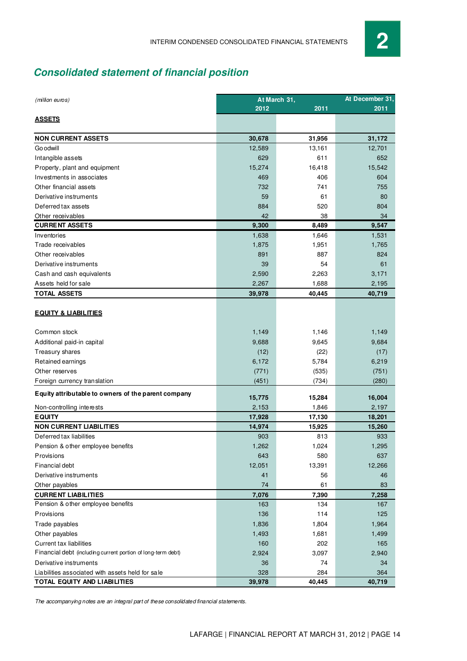## **Consolidated statement of financial position**

| (million euros)                                              | At March 31, | At December 31. |        |
|--------------------------------------------------------------|--------------|-----------------|--------|
|                                                              | 2012         | 2011            | 2011   |
| <b>ASSETS</b>                                                |              |                 |        |
| <b>NON CURRENT ASSETS</b>                                    | 30,678       | 31,956          | 31,172 |
| <b>Go odwill</b>                                             | 12,589       | 13,161          | 12,701 |
| Intangible assets                                            | 629          | 611             | 652    |
| Property, plant and equipment                                | 15,274       | 16,418          | 15,542 |
| Investments in associates                                    | 469          | 406             | 604    |
| Other financial assets                                       | 732          | 741             | 755    |
| Derivative instruments                                       | 59           | 61              | 80     |
| Deferred tax assets                                          | 884          | 520             | 804    |
| Other receivables                                            | 42           | 38              | 34     |
| <b>CURRENT ASSETS</b>                                        | 9,300        | 8,489           | 9,547  |
| Inventories                                                  | 1,638        | 1,646           | 1,531  |
| Trade receivables                                            | 1,875        | 1,951           | 1,765  |
| Other receivables                                            | 891          | 887             | 824    |
| Derivative instruments                                       | 39           | 54              | 61     |
| Cash and cash equivalents                                    | 2,590        | 2,263           | 3,171  |
| Assets held for sale                                         | 2,267        | 1,688           | 2,195  |
| <b>TOTAL ASSETS</b>                                          | 39,978       | 40,445          | 40,719 |
| <b>EQUITY &amp; LIABILITIES</b>                              |              |                 |        |
| Common stock                                                 | 1,149        | 1,146           | 1,149  |
| Additional paid-in capital                                   | 9,688        | 9,645           | 9,684  |
| Treasury shares                                              | (12)         | (22)            | (17)   |
| Retained earnings                                            | 6,172        | 5,784           | 6,219  |
| Other reserves                                               | (771)        | (535)           | (751)  |
| Foreign currency translation                                 | (451)        | (734)           | (280)  |
| Equity attributable to owners of the parent company          | 15,775       | 15,284          | 16,004 |
| Non-controlling interests                                    | 2,153        | 1,846           | 2,197  |
| <b>EQUITY</b>                                                | 17,928       | 17,130          | 18,201 |
| <b>NON CURRENT LIABILITIES</b>                               | 14,974       | 15,925          | 15,260 |
| Deferred tax liabilities                                     | 903          | 813             | 933    |
| Pension & other employee benefits                            | 1,262        | 1,024           | 1,295  |
| <b>Provisions</b>                                            | 643          | 580             | 637    |
| Financial debt                                               | 12,051       | 13,391          | 12,266 |
| Derivative instruments                                       | 41           | 56              | 46     |
| Other payables                                               | 74           | 61              | 83     |
| <b>CURRENT LIABILITIES</b>                                   | 7,076        | 7,390           | 7,258  |
| Pension & other employee benefits                            | 163          | 134             | 167    |
| Provisions                                                   | 136          | 114             | 125    |
| Trade payables                                               | 1,836        | 1,804           | 1,964  |
| Other payables                                               | 1,493        | 1,681           | 1,499  |
| <b>Current tax liabilities</b>                               | 160          | 202             | 165    |
| Financial debt (including current portion of long-term debt) | 2,924        | 3,097           | 2,940  |
| Derivative instruments                                       | 36           | 74              | 34     |
| Liabilities associated with assets held for sale             | 328          | 284             | 364    |
| TOTAL EQUITY AND LIABILITIES                                 | 39,978       | 40,445          | 40,719 |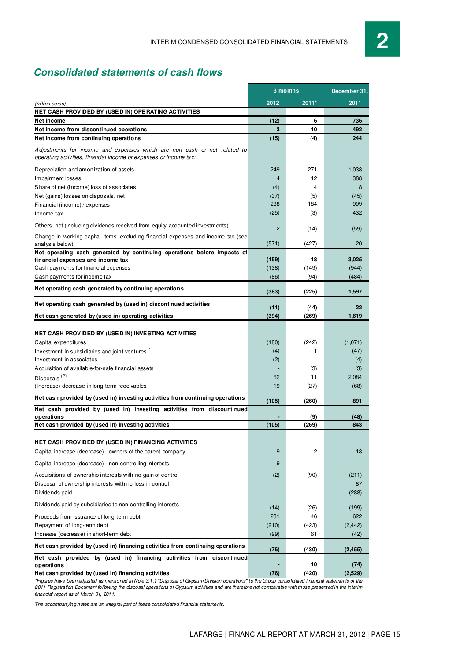## **Consolidated statements of cash flows**

|                                                                                                                                               | 3 months       | December 31, |              |
|-----------------------------------------------------------------------------------------------------------------------------------------------|----------------|--------------|--------------|
| (million euros)                                                                                                                               | 2012           | 2011*        | 2011         |
| NET CASH PROVIDED BY (USED IN) OPERATING ACTIVITIES                                                                                           |                |              |              |
| Net income                                                                                                                                    | (12)           | 6            | 736          |
| Net income from discontinued operations                                                                                                       | 3              | 10           | 492          |
| Net income from continuing operations                                                                                                         | (15)           | (4)          | 244          |
| Adjustments for income and expenses which are non cash or not related to<br>operating activities, financial income or expenses or income tax: |                |              |              |
| Depreciation and amortization of assets                                                                                                       | 249            | 271          | 1,038        |
| Impairment losses                                                                                                                             | $\overline{4}$ | 12           | 388          |
| Share of net (income) loss of associates                                                                                                      | (4)            | 4            | 8            |
| Net (gains) losses on disposals, net                                                                                                          | (37)           | (5)          | (45)         |
| Financial (income) / expenses                                                                                                                 | 238            | 184          | 999          |
| Income tax                                                                                                                                    | (25)           | (3)          | 432          |
| Others, net (including dividends received from equity-accounted investments)                                                                  | $\overline{2}$ | (14)         | (59)         |
| Change in working capital items, excluding financial expenses and income tax (see<br>analysis below)                                          | (571)          | (427)        | 20           |
| Net operating cash generated by continuing operations before impacts of                                                                       |                |              |              |
| financial expenses and income tax                                                                                                             | (159)          | 18           | 3,025        |
| Cash payments for financial expenses                                                                                                          | (138)          | (149)        | (944)        |
| Cash payments for income tax                                                                                                                  | (86)           | (94)         | (484)        |
| Net operating cash generated by continuing operations                                                                                         | (383)          | (225)        | 1,597        |
| Net operating cash generated by (used in) discontinued activities                                                                             | (11)           | (44)         | 22           |
| Net cash generated by (used in) operating activities                                                                                          | (394)          | (269)        | 1,619        |
|                                                                                                                                               |                |              |              |
| NET CASH PROVIDED BY (USED IN) INVESTING ACTIVITIES                                                                                           |                |              |              |
| Capital expenditures                                                                                                                          | (180)          | (242)        | (1,071)      |
| Investment in subsidiaries and joint ventures <sup>(1)</sup>                                                                                  | (4)            | 1            | (47)         |
| Investment in associates                                                                                                                      | (2)            |              | (4)          |
| Acquisition of available-for-sale financial assets                                                                                            |                | (3)          | (3)          |
| Disposals <sup>(2)</sup>                                                                                                                      | 62             | 11           | 2,084        |
| (Increase) decrease in long-term receivables                                                                                                  | 19             | (27)         | (68)         |
| Net cash provided by (used in) investing activities from continuing operations                                                                | (105)          | (260)        | 891          |
| Net cash provided by (used in) investing activities from discountinued<br>operations                                                          |                | (9)          | (48)         |
| Net cash provided by (used in) investing activities                                                                                           | (105)          | (269)        | 843          |
|                                                                                                                                               |                |              |              |
| NET CASH PROVIDED BY (USED IN) FINANCING ACTIVITIES                                                                                           |                |              |              |
| Capital increase (decrease) - owners of the parent company                                                                                    | 9              | 2            | 18           |
| Capital increase (decrease) - non-controlling interests                                                                                       | 9              |              |              |
| Acquisitions of ownership interests with no gain of control                                                                                   | (2)            | (90)         | (211)        |
| Disposal of ownership interests with no loss in control                                                                                       |                |              | 87           |
| Dividends paid                                                                                                                                |                |              | (288)        |
| Dividends paid by subsidiaries to non-controlling interests                                                                                   |                |              |              |
|                                                                                                                                               | (14)<br>231    | (26)<br>46   | (199)<br>622 |
| Proceeds from issuance of long-term debt<br>Repayment of long-term debt                                                                       | (210)          | (423)        | (2, 442)     |
| Increase (decrease) in short-term debt                                                                                                        | (99)           | 61           | (42)         |
| Net cash provided by (used in) financing activities from continuing operations                                                                |                |              |              |
|                                                                                                                                               | (76)           | (430)        | (2, 455)     |
| Net cash provided by (used in) financing activities from discontinued<br>operations                                                           |                | 10           | (74)         |
| Net cash provided by (used in) financing activities                                                                                           | (76)           | (420)        | (2,529)      |

\*Figures have been adjusted as mentioned in Note 3.1.1 "Disposal of Gypsum Division operations" to the Group consolidated financial statements of the 2011 Registration Document following the disposal operations of Gypsum activities and are therefore not comparable with those presented in the interim financial report as of March 31, 2011.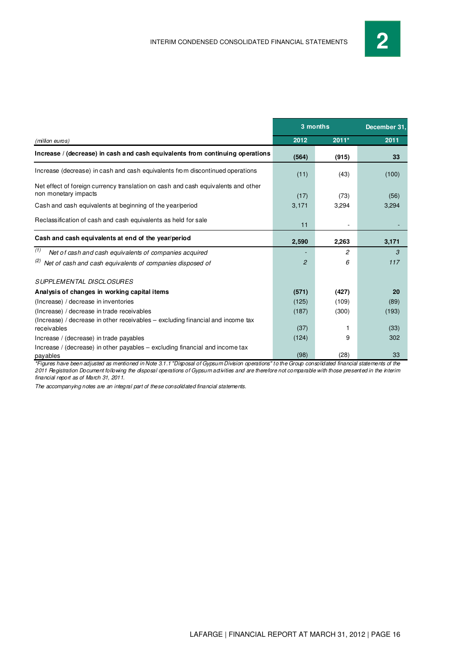|                                                                                                           |                | 3 months | December 31, |
|-----------------------------------------------------------------------------------------------------------|----------------|----------|--------------|
| (million euros)                                                                                           | 2012           | $2011*$  | 2011         |
| Increase / (decrease) in cash and cash equivalents from continuing operations                             | (564)          | (915)    | 33           |
| Increase (decrease) in cash and cash equivalents from discontinued operations                             | (11)           | (43)     | (100)        |
| Net effect of foreign currency translation on cash and cash equivalents and other<br>non monetary impacts | (17)           | (73)     | (56)         |
| Cash and cash equivalents at beginning of the year/period                                                 | 3,171          | 3,294    | 3,294        |
| Reclassification of cash and cash equivalents as held for sale                                            | 11             |          |              |
| Cash and cash equivalents at end of the year/period                                                       | 2,590          | 2,263    | 3,171        |
| (1)<br>Net of cash and cash equivalents of companies acquired                                             |                | 2        | 3            |
| (2)<br>Net of cash and cash equivalents of companies disposed of                                          | $\overline{2}$ | 6        | 117          |
| <b>SUPPLEMENTAL DISCLOSURES</b>                                                                           |                |          |              |
| Analysis of changes in working capital items                                                              | (571)          | (427)    | 20           |
| (Increase) / decrease in inventories                                                                      | (125)          | (109)    | (89)         |
| (Increase) / decrease in trade receivables                                                                | (187)          | (300)    | (193)        |
| (Increase) / decrease in other receivables – excluding financial and income tax<br>receivables            | (37)           |          | (33)         |
| Increase / (decrease) in trade payables                                                                   | (124)          | 9        | 302          |
| Increase / (decrease) in other payables - excluding financial and income tax<br>payables                  | (98)           | (28)     | 33           |

\*Figures have been adjusted as mentioned in Note 3.1.1 "Disposal of Gypsum Division operations" to the Group consolidated financial statements of the 2011 Registration Document following the disposal operations of Gypsum activities and are therefore not comparable with those presented in the interim financial report as of March 31, 2011.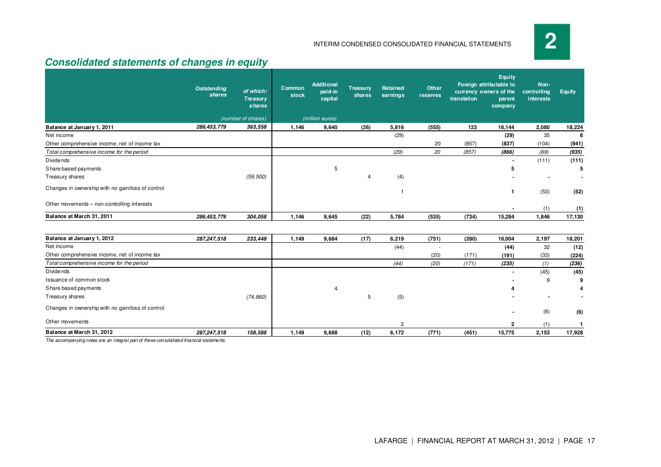**2**

 $\begin{array}{cccc} 2 & (1) & 1 \\ 15,775 & 2,153 & 17,928 \end{array}$ 

#### INTERIM CONDENSED CONSOLIDATED FINANCIAL STATEMENTS

## **Consolidated statements of changes in equity**

|                                                   | <b>Outstanding</b><br>shares | of which:<br><b>Treasury</b><br>shares | Common<br>stock | Additional<br>paid-in<br>capital | Treasury<br>shares | Retained<br>earnings | Other<br>reserves      | translation | Equity<br>Foreign attributable to<br>currency owners of the<br>parent<br>company | Non-<br>controlling<br>interests | Equity        |
|---------------------------------------------------|------------------------------|----------------------------------------|-----------------|----------------------------------|--------------------|----------------------|------------------------|-------------|----------------------------------------------------------------------------------|----------------------------------|---------------|
|                                                   |                              | (number of shares)                     |                 | (million euros)                  |                    |                      |                        |             |                                                                                  |                                  |               |
| Balance at January 1, 2011                        | 286,453,779                  | 363,558                                | 1,146           | 9,640                            | (26)               | 5,816                | (555)                  | 123         | 16,144                                                                           | 2,080                            | 18,224        |
| Net income                                        |                              |                                        |                 |                                  |                    | (29)                 |                        |             | (29)                                                                             | 35                               |               |
| Other comprehensive income, net of income tax     |                              |                                        |                 |                                  |                    |                      | 20                     | (857)       | (837)                                                                            | (104)                            | (941)         |
| Total comprehensive income for the period         |                              |                                        |                 |                                  |                    | (29)                 | 20                     | (857)       | (866)                                                                            | (69)                             | (935)         |
| <b>Dividends</b>                                  |                              |                                        |                 |                                  |                    |                      |                        |             |                                                                                  | (111)                            | (111)         |
| Share based payments                              |                              |                                        |                 | 5                                |                    |                      |                        |             | 5                                                                                |                                  | 5             |
| Treasury shares                                   |                              | (59, 500)                              |                 |                                  | 4                  | (4)                  |                        |             |                                                                                  |                                  |               |
| Changes in ownership with no gain/loss of control |                              |                                        |                 |                                  |                    | 1                    |                        |             | 1                                                                                | (53)                             | (52)          |
| Other movements - non-controlling interests       |                              |                                        |                 |                                  |                    |                      |                        |             |                                                                                  | (1)                              | (1)           |
| Balance at March 31, 2011                         | 286,453,779                  | 304,058                                | 1,146           | 9,645                            | (22)               | 5,784                | (535)                  | (734)       | 15,284                                                                           | 1,846                            | 17,130        |
| Balance at January 1, 2012                        |                              | 233,448                                |                 | 9,684                            |                    |                      |                        |             | 16,004                                                                           |                                  |               |
| Net income                                        | 287,247,518                  |                                        | 1,149           |                                  | (17)               | 6,219                | (751)                  | (280)       |                                                                                  | 2,197                            | 18,201        |
| Other comprehensive income, net of income tax     |                              |                                        |                 |                                  |                    | (44)                 | $\blacksquare$<br>(20) | (171)       | (44)<br>(191)                                                                    | 32<br>(33)                       | (12)<br>(224) |
| Total comprehensive income for the period         |                              |                                        |                 |                                  |                    | (44)                 | (20)                   | (171)       | (235)                                                                            | (1)                              | (236)         |
| <b>Dividends</b>                                  |                              |                                        |                 |                                  |                    |                      |                        |             |                                                                                  | (45)                             | (45)          |
| Issuance of common stock                          |                              |                                        |                 |                                  |                    |                      |                        |             |                                                                                  | 9                                | 9             |
| Share based payments                              |                              |                                        |                 | 4                                |                    |                      |                        |             |                                                                                  |                                  |               |
| Treasury shares                                   |                              | (74, 860)                              |                 |                                  | 5                  | (5)                  |                        |             |                                                                                  |                                  |               |
| Changes in ownership with no gain/loss of control |                              |                                        |                 |                                  |                    |                      |                        |             |                                                                                  | (6)                              | (6)           |

**Balance at March 31, 2012 287,247,518 158,5881,149 9,688 (12) 6,172 (771) (451) 15,775 2,153 17,928**

<u>2</u>

The accompanying notes are an integral part of these consolidated financial statements.

Other movements

**<sup>2</sup>**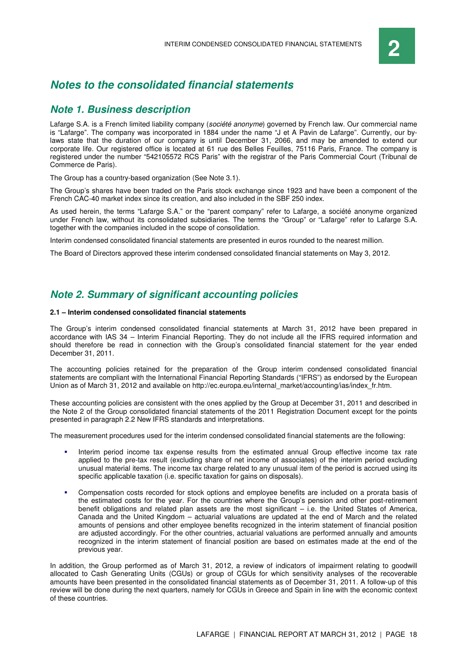## **Notes to the consolidated financial statements**

### **Note 1. Business description**

Lafarge S.A. is a French limited liability company (société anonyme) governed by French law. Our commercial name is "Lafarge". The company was incorporated in 1884 under the name "J et A Pavin de Lafarge". Currently, our bylaws state that the duration of our company is until December 31, 2066, and may be amended to extend our corporate life. Our registered office is located at 61 rue des Belles Feuilles, 75116 Paris, France. The company is registered under the number "542105572 RCS Paris" with the registrar of the Paris Commercial Court (Tribunal de Commerce de Paris).

The Group has a country-based organization (See Note 3.1).

The Group's shares have been traded on the Paris stock exchange since 1923 and have been a component of the French CAC-40 market index since its creation, and also included in the SBF 250 index.

As used herein, the terms "Lafarge S.A." or the "parent company" refer to Lafarge, a société anonyme organized under French law, without its consolidated subsidiaries. The terms the "Group" or "Lafarge" refer to Lafarge S.A. together with the companies included in the scope of consolidation.

Interim condensed consolidated financial statements are presented in euros rounded to the nearest million.

The Board of Directors approved these interim condensed consolidated financial statements on May 3, 2012.

### **Note 2. Summary of significant accounting policies**

#### **2.1 – Interim condensed consolidated financial statements**

The Group's interim condensed consolidated financial statements at March 31, 2012 have been prepared in accordance with IAS 34 – Interim Financial Reporting. They do not include all the IFRS required information and should therefore be read in connection with the Group's consolidated financial statement for the year ended December 31, 2011.

The accounting policies retained for the preparation of the Group interim condensed consolidated financial statements are compliant with the International Financial Reporting Standards ("IFRS") as endorsed by the European Union as of March 31, 2012 and available on http://ec.europa.eu/internal\_market/accounting/ias/index\_fr.htm.

These accounting policies are consistent with the ones applied by the Group at December 31, 2011 and described in the Note 2 of the Group consolidated financial statements of the 2011 Registration Document except for the points presented in paragraph 2.2 New IFRS standards and interpretations.

The measurement procedures used for the interim condensed consolidated financial statements are the following:

- Interim period income tax expense results from the estimated annual Group effective income tax rate applied to the pre-tax result (excluding share of net income of associates) of the interim period excluding unusual material items. The income tax charge related to any unusual item of the period is accrued using its specific applicable taxation (i.e. specific taxation for gains on disposals).
- Compensation costs recorded for stock options and employee benefits are included on a prorata basis of the estimated costs for the year. For the countries where the Group's pension and other post-retirement benefit obligations and related plan assets are the most significant – i.e. the United States of America, Canada and the United Kingdom – actuarial valuations are updated at the end of March and the related amounts of pensions and other employee benefits recognized in the interim statement of financial position are adjusted accordingly. For the other countries, actuarial valuations are performed annually and amounts recognized in the interim statement of financial position are based on estimates made at the end of the previous year.

In addition, the Group performed as of March 31, 2012, a review of indicators of impairment relating to goodwill allocated to Cash Generating Units (CGUs) or group of CGUs for which sensitivity analyses of the recoverable amounts have been presented in the consolidated financial statements as of December 31, 2011. A follow-up of this review will be done during the next quarters, namely for CGUs in Greece and Spain in line with the economic context of these countries.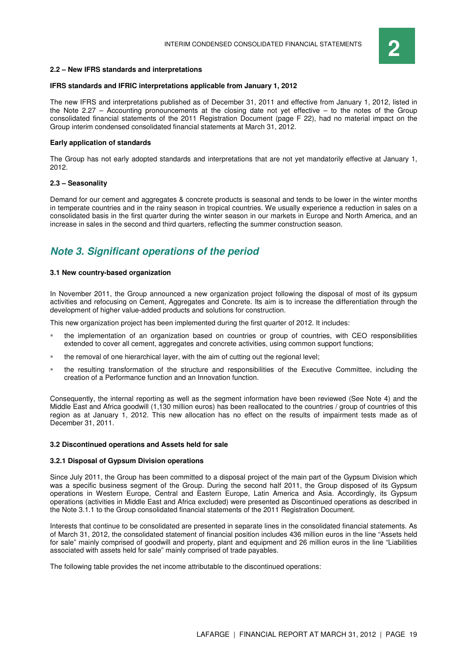

#### **2.2 – New IFRS standards and interpretations**

#### **IFRS standards and IFRIC interpretations applicable from January 1, 2012**

The new IFRS and interpretations published as of December 31, 2011 and effective from January 1, 2012, listed in the Note 2.27 – Accounting pronouncements at the closing date not yet effective – to the notes of the Group consolidated financial statements of the 2011 Registration Document (page F 22), had no material impact on the Group interim condensed consolidated financial statements at March 31, 2012.

#### **Early application of standards**

The Group has not early adopted standards and interpretations that are not yet mandatorily effective at January 1, 2012.

#### **2.3 – Seasonality**

Demand for our cement and aggregates & concrete products is seasonal and tends to be lower in the winter months in temperate countries and in the rainy season in tropical countries. We usually experience a reduction in sales on a consolidated basis in the first quarter during the winter season in our markets in Europe and North America, and an increase in sales in the second and third quarters, reflecting the summer construction season.

## **Note 3. Significant operations of the period**

#### **3.1 New country-based organization**

In November 2011, the Group announced a new organization project following the disposal of most of its gypsum activities and refocusing on Cement, Aggregates and Concrete. Its aim is to increase the differentiation through the development of higher value-added products and solutions for construction.

This new organization project has been implemented during the first quarter of 2012. It includes:

- the implementation of an organization based on countries or group of countries, with CEO responsibilities extended to cover all cement, aggregates and concrete activities, using common support functions;
- the removal of one hierarchical layer, with the aim of cutting out the regional level;
- the resulting transformation of the structure and responsibilities of the Executive Committee, including the creation of a Performance function and an Innovation function.

Consequently, the internal reporting as well as the segment information have been reviewed (See Note 4) and the Middle East and Africa goodwill (1,130 million euros) has been reallocated to the countries / group of countries of this region as at January 1, 2012. This new allocation has no effect on the results of impairment tests made as of December 31, 2011.

#### **3.2 Discontinued operations and Assets held for sale**

#### **3.2.1 Disposal of Gypsum Division operations**

Since July 2011, the Group has been committed to a disposal project of the main part of the Gypsum Division which was a specific business segment of the Group. During the second half 2011, the Group disposed of its Gypsum operations in Western Europe, Central and Eastern Europe, Latin America and Asia. Accordingly, its Gypsum operations (activities in Middle East and Africa excluded) were presented as Discontinued operations as described in the Note 3.1.1 to the Group consolidated financial statements of the 2011 Registration Document.

Interests that continue to be consolidated are presented in separate lines in the consolidated financial statements. As of March 31, 2012, the consolidated statement of financial position includes 436 million euros in the line "Assets held for sale" mainly comprised of goodwill and property, plant and equipment and 26 million euros in the line "Liabilities associated with assets held for sale" mainly comprised of trade payables.

The following table provides the net income attributable to the discontinued operations: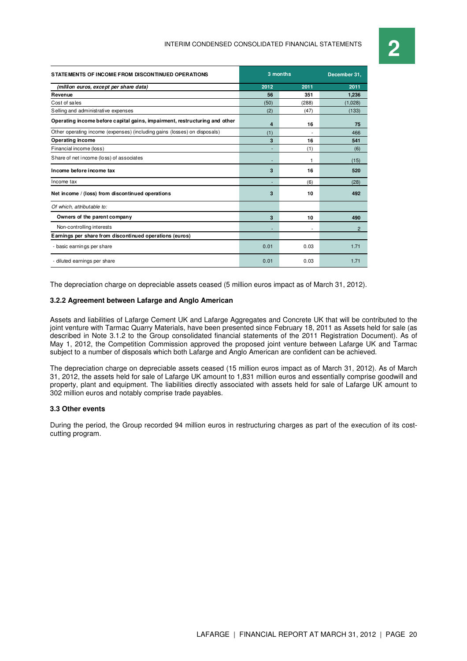# INTERIM CONDENSED CONSOLIDATED FINANCIAL STATEMENTS **2**

| STATE MENTS OF INCOME FROM DISCONTINUED OPERATIONS                         | 3 months       | December 31. |                |
|----------------------------------------------------------------------------|----------------|--------------|----------------|
| (million euros, except per share data)                                     | 2012           | 2011         | 2011           |
| Revenue                                                                    | 56             | 351          | 1.236          |
| Cost of sales                                                              | (50)           | (288)        | (1,028)        |
| Selling and administrative expenses                                        | (2)            | (47)         | (133)          |
| Operating income before capital gains, impairment, restructuring and other | $\overline{4}$ | 16           | 75             |
| Other operating income (expenses) (including gains (losses) on disposals)  | (1)            |              | 466            |
| <b>Operating income</b>                                                    | 3              | 16           | 541            |
| Financial income (loss)                                                    |                | (1)          | (6)            |
| Share of net income (loss) of associates                                   |                | 1            | (15)           |
| Income before income tax                                                   | 3              | 16           | 520            |
| Income tax                                                                 |                | (6)          | (28)           |
| Net income / (loss) from discontinued operations                           | 3              | 10           | 492            |
| Of which, attributable to:                                                 |                |              |                |
| Owners of the parent company                                               | 3              | 10           | 490            |
| Non-controlling interests                                                  |                | ٠            | $\overline{2}$ |
| Earnings per share from discontinued operations (euros)                    |                |              |                |
| - basic earnings per share                                                 | 0.01           | 0.03         | 1.71           |
| - diluted earnings per share                                               | 0.01           | 0.03         | 1.71           |

The depreciation charge on depreciable assets ceased (5 million euros impact as of March 31, 2012).

#### **3.2.2 Agreement between Lafarge and Anglo American**

Assets and liabilities of Lafarge Cement UK and Lafarge Aggregates and Concrete UK that will be contributed to the joint venture with Tarmac Quarry Materials, have been presented since February 18, 2011 as Assets held for sale (as described in Note 3.1.2 to the Group consolidated financial statements of the 2011 Registration Document). As of May 1, 2012, the Competition Commission approved the proposed joint venture between Lafarge UK and Tarmac subject to a number of disposals which both Lafarge and Anglo American are confident can be achieved.

The depreciation charge on depreciable assets ceased (15 million euros impact as of March 31, 2012). As of March 31, 2012, the assets held for sale of Lafarge UK amount to 1,831 million euros and essentially comprise goodwill and property, plant and equipment. The liabilities directly associated with assets held for sale of Lafarge UK amount to 302 million euros and notably comprise trade payables.

#### **3.3 Other events**

During the period, the Group recorded 94 million euros in restructuring charges as part of the execution of its costcutting program.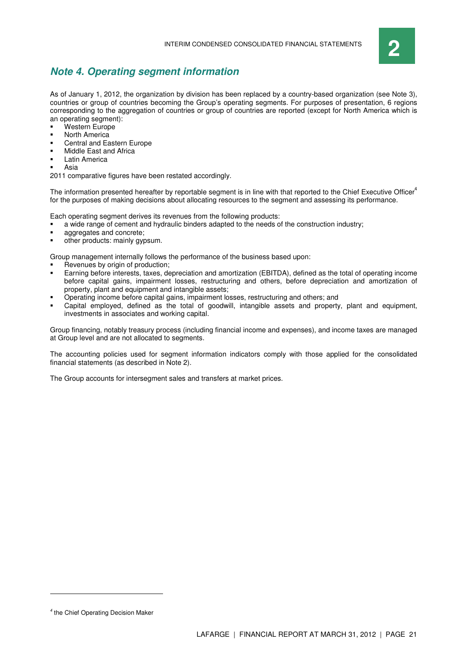

## **Note 4. Operating segment information**

As of January 1, 2012, the organization by division has been replaced by a country-based organization (see Note 3), countries or group of countries becoming the Group's operating segments. For purposes of presentation, 6 regions corresponding to the aggregation of countries or group of countries are reported (except for North America which is an operating segment):

- Western Europe
- North America
- Central and Eastern Europe
- Middle East and Africa
- Latin America
- Asia

2011 comparative figures have been restated accordingly.

The information presented hereafter by reportable segment is in line with that reported to the Chief Executive Officer<sup>4</sup> for the purposes of making decisions about allocating resources to the segment and assessing its performance.

Each operating segment derives its revenues from the following products:

- a wide range of cement and hydraulic binders adapted to the needs of the construction industry;
- aggregates and concrete;
- other products: mainly gypsum.

Group management internally follows the performance of the business based upon:

- Revenues by origin of production:
- Earning before interests, taxes, depreciation and amortization (EBITDA), defined as the total of operating income before capital gains, impairment losses, restructuring and others, before depreciation and amortization of property, plant and equipment and intangible assets;
- Operating income before capital gains, impairment losses, restructuring and others; and
- Capital employed, defined as the total of goodwill, intangible assets and property, plant and equipment, investments in associates and working capital.

Group financing, notably treasury process (including financial income and expenses), and income taxes are managed at Group level and are not allocated to segments.

The accounting policies used for segment information indicators comply with those applied for the consolidated financial statements (as described in Note 2).

The Group accounts for intersegment sales and transfers at market prices.

 $\overline{a}$ 

<sup>4</sup> the Chief Operating Decision Maker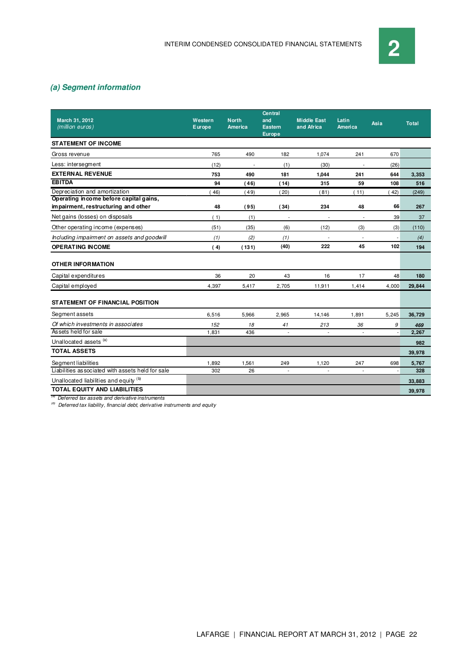### **(a) Segment information**

| <b>March 31, 2012</b><br>(million euros)                                      | Western<br>Europe | <b>North</b><br>America  | <b>Central</b><br>and<br><b>Eastern</b><br><b>Europe</b> | <b>Middle East</b><br>and Africa | Latin<br>America         | Asia  | <b>Total</b> |
|-------------------------------------------------------------------------------|-------------------|--------------------------|----------------------------------------------------------|----------------------------------|--------------------------|-------|--------------|
| <b>STATEMENT OF INCOME</b>                                                    |                   |                          |                                                          |                                  |                          |       |              |
| Gross revenue                                                                 | 765               | 490                      | 182                                                      | 1,074                            | 241                      | 670   |              |
| Less: intersegment                                                            | (12)              | $\overline{\phantom{a}}$ | (1)                                                      | (30)                             | $\overline{\phantom{a}}$ | (26)  |              |
| <b>EXTERNAL REVENUE</b>                                                       | 753               | 490                      | 181                                                      | 1,044                            | 241                      | 644   | 3,353        |
| <b>EBITDA</b>                                                                 | 94                | (46)                     | (14)                                                     | 315                              | 59                       | 108   | 516          |
| Depreciation and amortization                                                 | 46)               | (49)                     | (20)                                                     | (81)                             | (11)                     | 42)   | (249)        |
| Operating income before capital gains,<br>impairment, restructuring and other | 48                | (95)                     | (34)                                                     | 234                              | 48                       | 66    | 267          |
| Net gains (losses) on disposals                                               | (1)               | (1)                      |                                                          |                                  |                          | 39    | 37           |
| Other operating income (expenses)                                             | (51)              | (35)                     | (6)                                                      | (12)                             | (3)                      | (3)   | (110)        |
| Including impairment on assets and goodwill                                   | (1)               | (2)                      | (1)                                                      | $\overline{\phantom{a}}$         | $\overline{\phantom{a}}$ |       | (4)          |
| <b>OPERATING INCOME</b>                                                       | (4)               | (131)                    | (40)                                                     | 222                              | 45                       | 102   | 194          |
| <b>OTHER INFORMATION</b>                                                      |                   |                          |                                                          |                                  |                          |       |              |
| Capital expenditures                                                          | 36                | 20                       | 43                                                       | 16                               | 17                       | 48    | 180          |
| Capital employed                                                              | 4,397             | 5,417                    | 2,705                                                    | 11,911                           | 1,414                    | 4,000 | 29,844       |
| <b>STATEMENT OF FINANCIAL POSITION</b>                                        |                   |                          |                                                          |                                  |                          |       |              |
| Segment assets                                                                | 6,516             | 5,966                    | 2.965                                                    | 14.146                           | 1,891                    | 5,245 | 36,729       |
| Of which investments in associates                                            | 152               | 18                       | 41                                                       | 213                              | 36                       | 9     | 469          |
| Assets held for sale                                                          | 1,831             | 436                      | $\overline{\phantom{a}}$                                 | ÷,                               | ÷,                       |       | 2,267        |
| Unallocated assets (a)                                                        |                   |                          |                                                          |                                  |                          |       | 982          |
| <b>TOTAL ASSETS</b>                                                           |                   |                          |                                                          |                                  |                          |       | 39,978       |
| Segment liabilities                                                           | 1,892             | 1,561                    | 249                                                      | 1,120                            | 247                      | 698   | 5,767        |
| Liabilities associated with assets held for sale                              | 302               | 26                       | $\overline{\phantom{a}}$                                 | ÷,                               | ÷,                       |       | 328          |
| Unallocated liabilities and equity (b)                                        |                   |                          |                                                          |                                  |                          |       | 33,883       |
| <b>TOTAL EQUITY AND LIABILITIES</b>                                           |                   |                          |                                                          |                                  |                          |       | 39,978       |

<sup>(a)</sup> Deferred tax assets and derivative instruments

<sup>(b)</sup> Deferred tax liability, financial debt, derivative instruments and equity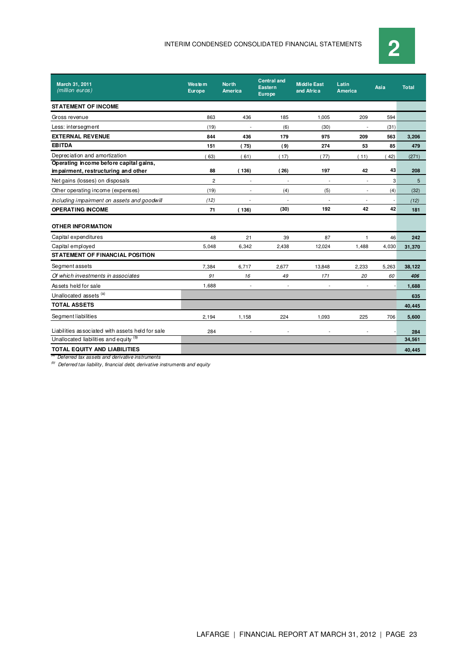

| March 31, 2011<br>(million euros)                 | <b>Western</b><br><b>Europe</b> | <b>North</b><br><b>America</b> | <b>Central and</b><br><b>Eastern</b><br><b>Europe</b> | <b>Middle East</b><br>and Africa | Latin<br><b>America</b> | Asia           | <b>Total</b> |
|---------------------------------------------------|---------------------------------|--------------------------------|-------------------------------------------------------|----------------------------------|-------------------------|----------------|--------------|
| <b>STATEMENT OF INCOME</b>                        |                                 |                                |                                                       |                                  |                         |                |              |
| Gross revenue                                     | 863                             | 436                            | 185                                                   | 1,005                            | 209                     | 594            |              |
| Less: intersegment                                | (19)                            | $\overline{\phantom{a}}$       | (6)                                                   | (30)                             | ÷                       | (31)           |              |
| <b>EXTERNAL REVENUE</b>                           | 844                             | 436                            | 179                                                   | 975                              | 209                     | 563            | 3,206        |
| <b>EBITDA</b>                                     | 151                             | (75)                           | (9)                                                   | 274                              | 53                      | 85             | 479          |
| Depreciation and amortization                     | 63)                             | (61)                           | (17)                                                  | (77)                             | (11)                    | (42)           | (271)        |
| Operating income before capital gains,            |                                 |                                |                                                       |                                  |                         |                |              |
| impairment, restructuring and other               | 88                              | (136)                          | (26)                                                  | 197                              | 42                      | 43             | 208          |
| Net gains (losses) on disposals                   | $\overline{c}$                  | $\overline{a}$                 | ÷                                                     | L,                               | $\overline{a}$          | 3              | 5            |
| Other operating income (expenses)                 | (19)                            | $\overline{\phantom{a}}$       | (4)                                                   | (5)                              | $\overline{a}$          | (4)            | (32)         |
| Including impairment on assets and goodwill       | (12)                            |                                | ÷,                                                    |                                  |                         | $\overline{a}$ | (12)         |
| <b>OPERATING INCOME</b>                           | 71                              | (136)                          | (30)                                                  | 192                              | 42                      | 42             | 181          |
| <b>OTHER INFORMATION</b>                          |                                 |                                |                                                       |                                  |                         |                |              |
| Capital expenditures                              | 48                              | 21                             | 39                                                    | 87                               | 1                       | 46             | 242          |
| Capital employed                                  | 5,048                           | 6,342                          | 2,438                                                 | 12,024                           | 1,488                   | 4,030          | 31,370       |
| <b>STATEMENT OF FINANCIAL POSITION</b>            |                                 |                                |                                                       |                                  |                         |                |              |
| Segment assets                                    | 7,384                           | 6,717                          | 2,677                                                 | 13,848                           | 2,233                   | 5,263          | 38,122       |
| Of which investments in associates                | 91                              | 16                             | 49                                                    | 171                              | 20                      | 60             | 406          |
| Assets held for sale                              | 1.688                           | $\overline{\phantom{a}}$       | $\overline{\phantom{a}}$                              | $\overline{a}$                   | $\overline{a}$          |                | 1,688        |
| Unallocated assets <sup>(a)</sup>                 |                                 |                                |                                                       |                                  |                         |                | 635          |
| <b>TOTAL ASSETS</b>                               |                                 |                                |                                                       |                                  |                         |                | 40,445       |
| Segment liabilities                               | 2.194                           | 1,158                          | 224                                                   | 1,093                            | 225                     | 706            | 5,600        |
| Liabilities as sociated with assets held for sale | 284                             | $\overline{\phantom{a}}$       | $\overline{\phantom{a}}$                              | $\overline{a}$                   |                         |                | 284          |
| Unallocated liabilities and equity (b)            |                                 |                                |                                                       |                                  |                         |                | 34,561       |
| <b>TOTAL EQUITY AND LIABILITIES</b>               |                                 |                                |                                                       |                                  |                         |                | 40,445       |

<sup>(a)</sup> Deferred tax assets and derivative instruments

 $(10)$  Deferred tax liability, financial debt, derivative instruments and equity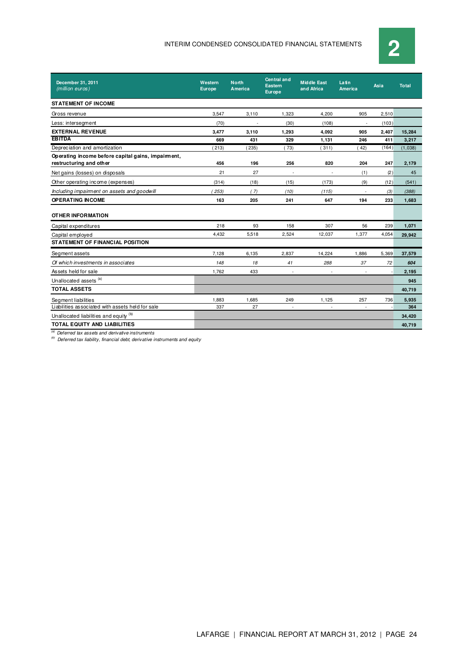

| December 31, 2011<br>(million euros)               | Western<br><b>Europe</b> | <b>North</b><br><b>America</b> | <b>Central and</b><br><b>Eastern</b><br><b>Europe</b> | <b>Middle East</b><br>and Africa | Latin<br><b>America</b>  | Asia  | <b>Total</b> |
|----------------------------------------------------|--------------------------|--------------------------------|-------------------------------------------------------|----------------------------------|--------------------------|-------|--------------|
| <b>STATEMENT OF INCOME</b>                         |                          |                                |                                                       |                                  |                          |       |              |
| Gross revenue                                      | 3.547                    | 3,110                          | 1.323                                                 | 4.200                            | 905                      | 2.510 |              |
| Less: intersegment                                 | (70)                     |                                | (30)                                                  | (108)                            | $\sim$                   | (103) |              |
| <b>EXTERNAL REVENUE</b>                            | 3.477                    | 3.110                          | 1.293                                                 | 4.092                            | 905                      | 2.407 | 15,284       |
| <b>EBITDA</b>                                      | 669                      | 431                            | 329                                                   | 1,131                            | 246                      | 411   | 3,217        |
| Depreciation and amortization                      | 213)                     | 235)                           | (73)                                                  | 311)                             | 42)                      | (164) | (1,038)      |
| Operating income before capital gains, impairment, |                          |                                |                                                       |                                  |                          |       |              |
| restructuring and other                            | 456                      | 196                            | 256                                                   | 820                              | 204                      | 247   | 2,179        |
| Net gains (losses) on disposals                    | 21                       | 27                             | $\sim$                                                |                                  | (1)                      | (2)   | 45           |
| Other operating income (expenses)                  | (314)                    | (18)                           | (15)                                                  | (173)                            | (9)                      | (12)  | (541)        |
| Including impairment on assets and goodwill        | 253)                     | (7)                            | (10)                                                  | (115)                            |                          | (3)   | (388)        |
| <b>OPERATING INCOME</b>                            | 163                      | 205                            | 241                                                   | 647                              | 194                      | 233   | 1,683        |
| <b>OTHER INFORMATION</b>                           |                          |                                |                                                       |                                  |                          |       |              |
| Capital expenditures                               | 218                      | 93                             | 158                                                   | 307                              | 56                       | 239   | 1,071        |
| Capital employed                                   | 4,432                    | 5,518                          | 2,524                                                 | 12,037                           | 1,377                    | 4,054 | 29,942       |
| <b>STATEMENT OF FINANCIAL POSITION</b>             |                          |                                |                                                       |                                  |                          |       |              |
| Segment assets                                     | 7.128                    | 6.135                          | 2.837                                                 | 14,224                           | 1.886                    | 5,369 | 37,579       |
| Of which investments in associates                 | 148                      | 18                             | 41                                                    | 288                              | 37                       | 72    | 604          |
| Assets held for sale                               | 1.762                    | 433                            | $\sim$                                                | ÷.                               | $\ddot{\phantom{1}}$     |       | 2,195        |
| Unallocated assets (a)                             |                          |                                |                                                       |                                  |                          |       | 945          |
| <b>TOTAL ASSETS</b>                                |                          |                                |                                                       |                                  |                          |       | 40,719       |
| Segment liabilities                                | 1,883                    | 1,685                          | 249                                                   | 1,125                            | 257                      | 736   | 5,935        |
| Liabilities associated with assets held for sale   | 337                      | 27                             | $\sim$                                                | $\overline{\phantom{a}}$         | $\overline{\phantom{a}}$ |       | 364          |
| Unallocated liabilities and equity (b)             |                          |                                |                                                       |                                  |                          |       | 34,420       |
| <b>TOTAL EQUITY AND LIABILITIES</b>                |                          |                                |                                                       |                                  |                          |       | 40,719       |

 $\overline{a}$  Deferred tax assets and derivative instruments

 $\overset{(b)}{=}$  Deferred tax liability, financial debt, derivative instruments and equity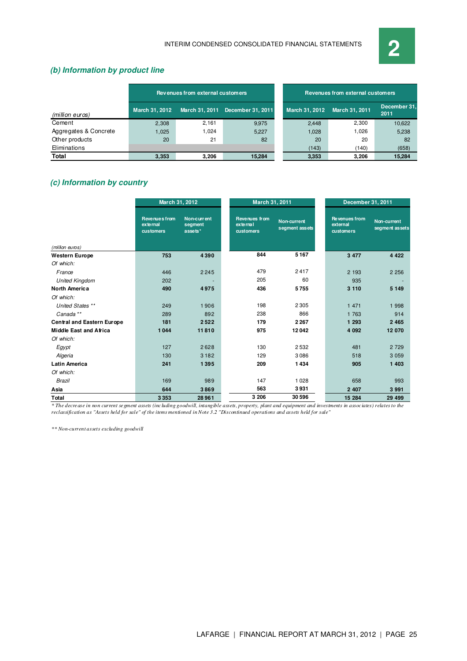

### **(b) Information by product line**

|                       |                       | Revenues from external customers |                   |                | Revenues from external customers |                      |
|-----------------------|-----------------------|----------------------------------|-------------------|----------------|----------------------------------|----------------------|
| (million euros)       | <b>March 31, 2012</b> | March 31, 2011                   | December 31, 2011 | March 31, 2012 | March 31, 2011                   | December 31.<br>2011 |
| Cement                | 2.308                 | 2,161                            | 9.975             | 2.448          | 2.300                            | 10,622               |
| Aggregates & Concrete | 1.025                 | 1.024                            | 5.227             | 1,028          | 1.026                            | 5,238                |
| Other products        | 20                    | 21                               | 82                | 20             | 20                               | 82                   |
| Eliminations          |                       |                                  |                   | (143)          | (140)                            | (658)                |
| Total                 | 3,353                 | 3.206                            | 15,284            | 3,353          | 3,206                            | 15,284               |

## **(c) Information by country**

|                                   | March 31, 2012                                |                                   | March 31, 2011                         |                                      | December 31, 2011                             |                               |
|-----------------------------------|-----------------------------------------------|-----------------------------------|----------------------------------------|--------------------------------------|-----------------------------------------------|-------------------------------|
|                                   | <b>Revenues from</b><br>external<br>customers | Non-current<br>segment<br>assets* | Revenues from<br>external<br>customers | <b>Non-current</b><br>segment assets | <b>Revenues from</b><br>external<br>customers | Non-current<br>segment assets |
| (million euros)                   |                                               |                                   |                                        |                                      |                                               |                               |
| <b>Western Europe</b>             | 753                                           | 4390                              | 844                                    | 5167                                 | 3 4 7 7                                       | 4 4 2 2                       |
| Of which:                         |                                               |                                   |                                        |                                      |                                               |                               |
| France                            | 446                                           | 2245                              | 479                                    | 2417                                 | 2 193                                         | 2 2 5 6                       |
| <b>United Kingdom</b>             | 202                                           |                                   | 205                                    | 60                                   | 935                                           |                               |
| <b>North America</b>              | 490                                           | 4975                              | 436                                    | 5755                                 | 3 1 1 0                                       | 5 1 4 9                       |
| Of which:                         |                                               |                                   |                                        |                                      |                                               |                               |
| United States **                  | 249                                           | 1906                              | 198                                    | 2305                                 | 1 4 7 1                                       | 1 9 9 8                       |
| Canada**                          | 289                                           | 892                               | 238                                    | 866                                  | 1 763                                         | 914                           |
| <b>Central and Eastern Europe</b> | 181                                           | 2522                              | 179                                    | 2 2 6 7                              | 1 293                                         | 2 4 6 5                       |
| <b>Middle East and Africa</b>     | 1044                                          | 11810                             | 975                                    | 12042                                | 4 0 9 2                                       | 12 070                        |
| Of which:                         |                                               |                                   |                                        |                                      |                                               |                               |
| Egypt                             | 127                                           | 2628                              | 130                                    | 2532                                 | 481                                           | 2 7 2 9                       |
| Algeria                           | 130                                           | 3182                              | 129                                    | 3086                                 | 518                                           | 3 0 5 9                       |
| <b>Latin America</b>              | 241                                           | 1395                              | 209                                    | 1434                                 | 905                                           | 1 403                         |
| Of which:                         |                                               |                                   |                                        |                                      |                                               |                               |
| <b>Brazil</b>                     | 169                                           | 989                               | 147                                    | 1028                                 | 658                                           | 993                           |
| Asia                              | 644                                           | 3869                              | 563                                    | 3931                                 | 2 4 0 7                                       | 3 9 9 1                       |
| Total                             | 3353                                          | 28 96 1                           | 3 206                                  | 30596                                | 15 284                                        | 29 4 99                       |

*\* The decrease in non current segment assets (including goodwill, intangible assets, property, plant and equipment and investments in associates) relates to the reclassification as "Assets held for sale" of the items mentioned in Note 3.2 "Discontinued operations and assets held for sale"*

*\*\* Non-current assets excluding goodwill*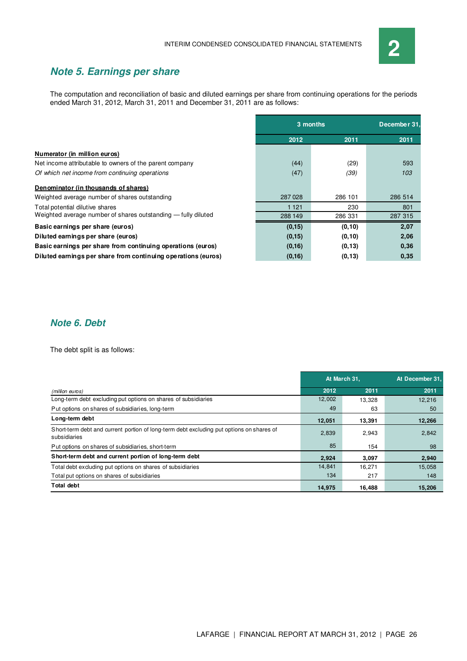

## **Note 5. Earnings per share**

The computation and reconciliation of basic and diluted earnings per share from continuing operations for the periods ended March 31, 2012, March 31, 2011 and December 31, 2011 are as follows:

|                                                               | 3 months |         | December 31. |
|---------------------------------------------------------------|----------|---------|--------------|
|                                                               | 2012     | 2011    | 2011         |
| Numerator (in million euros)                                  |          |         |              |
| Net income attributable to owners of the parent company       | (44)     | (29)    | 593          |
| Of which net income from continuing operations                | (47)     | (39)    | 103          |
| Denominator (in thousands of shares)                          |          |         |              |
| Weighted average number of shares outstanding                 | 287028   | 286 101 | 286 514      |
| Total potential dilutive shares                               | 1 1 2 1  | 230     | 801          |
| Weighted average number of shares outstanding - fully diluted | 288 149  | 286 331 | 287 315      |
| Basic earnings per share (euros)                              | (0, 15)  | (0, 10) | 2,07         |
| Diluted earnings per share (euros)                            | (0, 15)  | (0, 10) | 2,06         |
| Basic earnings per share from continuing operations (euros)   | (0, 16)  | (0, 13) | 0,36         |
| Diluted earnings per share from continuing operations (euros) | (0, 16)  | (0, 13) | 0,35         |

## **Note 6. Debt**

The debt split is as follows:

|                                                                                                          | At March 31, |        | At December 31. |  |
|----------------------------------------------------------------------------------------------------------|--------------|--------|-----------------|--|
| (million euros)                                                                                          | 2012         | 2011   | 2011            |  |
| Long-term debt excluding put options on shares of subsidiaries                                           | 12,002       | 13,328 | 12,216          |  |
| Put options on shares of subsidiaries, long-term                                                         | 49           | 63     | 50              |  |
| Long-term debt                                                                                           | 12,051       | 13,391 | 12,266          |  |
| Short-term debt and current portion of long-term debt excluding put options on shares of<br>subsidiaries | 2,839        | 2,943  | 2,842           |  |
| Put options on shares of subsidiaries, short-term                                                        | 85           | 154    | 98              |  |
| Short-term debt and current portion of long-term debt                                                    | 2,924        | 3,097  | 2,940           |  |
| Total debt excluding put options on shares of subsidiaries                                               | 14,841       | 16.271 | 15,058          |  |
| Total put options on shares of subsidiaries                                                              | 134          | 217    | 148             |  |
| <b>Total debt</b>                                                                                        | 14.975       | 16,488 | 15,206          |  |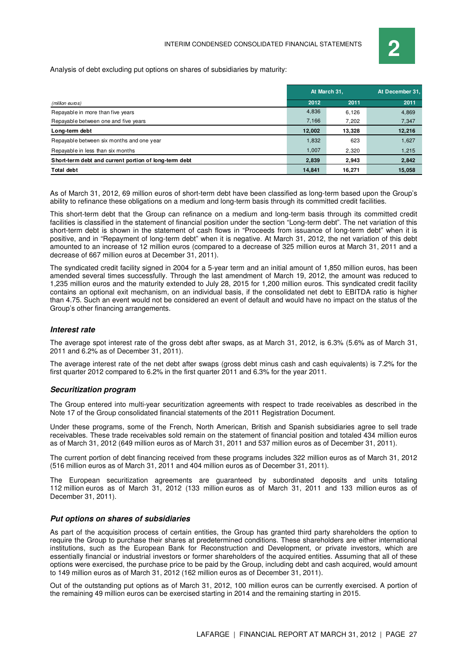Analysis of debt excluding put options on shares of subsidiaries by maturity:

|                                                       | At March 31. |        | At December 31. |
|-------------------------------------------------------|--------------|--------|-----------------|
| (million euros)                                       | 2012         | 2011   | 2011            |
| Repayable in more than five years                     | 4,836        | 6,126  | 4,869           |
| Repayable between one and five years                  | 7,166        | 7,202  | 7,347           |
| Long-term debt                                        | 12,002       | 13,328 | 12,216          |
| Repayable between six months and one year             | 1,832        | 623    | 1,627           |
| Repayable in less than six months                     | 1,007        | 2,320  | 1,215           |
| Short-term debt and current portion of long-term debt | 2,839        | 2,943  | 2,842           |
| <b>Total debt</b>                                     | 14,841       | 16,271 | 15,058          |

As of March 31, 2012, 69 million euros of short-term debt have been classified as long-term based upon the Group's ability to refinance these obligations on a medium and long-term basis through its committed credit facilities.

This short-term debt that the Group can refinance on a medium and long-term basis through its committed credit facilities is classified in the statement of financial position under the section "Long-term debt". The net variation of this short-term debt is shown in the statement of cash flows in "Proceeds from issuance of long-term debt" when it is positive, and in "Repayment of long-term debt" when it is negative. At March 31, 2012, the net variation of this debt amounted to an increase of 12 million euros (compared to a decrease of 325 million euros at March 31, 2011 and a decrease of 667 million euros at December 31, 2011).

The syndicated credit facility signed in 2004 for a 5-year term and an initial amount of 1,850 million euros, has been amended several times successfully. Through the last amendment of March 19, 2012, the amount was reduced to 1,235 million euros and the maturity extended to July 28, 2015 for 1,200 million euros. This syndicated credit facility contains an optional exit mechanism, on an individual basis, if the consolidated net debt to EBITDA ratio is higher than 4.75. Such an event would not be considered an event of default and would have no impact on the status of the Group's other financing arrangements.

#### **Interest rate**

The average spot interest rate of the gross debt after swaps, as at March 31, 2012, is 6.3% (5.6% as of March 31, 2011 and 6.2% as of December 31, 2011).

The average interest rate of the net debt after swaps (gross debt minus cash and cash equivalents) is 7.2% for the first quarter 2012 compared to 6.2% in the first quarter 2011 and 6.3% for the year 2011.

#### **Securitization program**

The Group entered into multi-year securitization agreements with respect to trade receivables as described in the Note 17 of the Group consolidated financial statements of the 2011 Registration Document.

Under these programs, some of the French, North American, British and Spanish subsidiaries agree to sell trade receivables. These trade receivables sold remain on the statement of financial position and totaled 434 million euros as of March 31, 2012 (649 million euros as of March 31, 2011 and 537 million euros as of December 31, 2011).

The current portion of debt financing received from these programs includes 322 million euros as of March 31, 2012 (516 million euros as of March 31, 2011 and 404 million euros as of December 31, 2011).

The European securitization agreements are guaranteed by subordinated deposits and units totaling 112 million euros as of March 31, 2012 (133 million euros as of March 31, 2011 and 133 million euros as of December 31, 2011).

#### **Put options on shares of subsidiaries**

As part of the acquisition process of certain entities, the Group has granted third party shareholders the option to require the Group to purchase their shares at predetermined conditions. These shareholders are either international institutions, such as the European Bank for Reconstruction and Development, or private investors, which are essentially financial or industrial investors or former shareholders of the acquired entities. Assuming that all of these options were exercised, the purchase price to be paid by the Group, including debt and cash acquired, would amount to 149 million euros as of March 31, 2012 (162 million euros as of December 31, 2011).

Out of the outstanding put options as of March 31, 2012, 100 million euros can be currently exercised. A portion of the remaining 49 million euros can be exercised starting in 2014 and the remaining starting in 2015.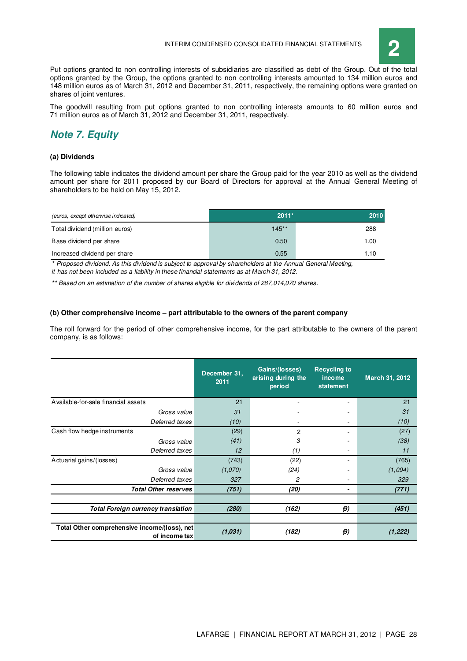

Put options granted to non controlling interests of subsidiaries are classified as debt of the Group. Out of the total options granted by the Group, the options granted to non controlling interests amounted to 134 million euros and 148 million euros as of March 31, 2012 and December 31, 2011, respectively, the remaining options were granted on shares of joint ventures.

The goodwill resulting from put options granted to non controlling interests amounts to 60 million euros and 71 million euros as of March 31, 2012 and December 31, 2011, respectively.

## **Note 7. Equity**

#### **(a) Dividends**

The following table indicates the dividend amount per share the Group paid for the year 2010 as well as the dividend amount per share for 2011 proposed by our Board of Directors for approval at the Annual General Meeting of shareholders to be held on May 15, 2012.

| (euros, except otherwise indicated) | $2011*$  | 2010 |
|-------------------------------------|----------|------|
| Total dividend (million euros)      | $145***$ | 288  |
| Base dividend per share             | 0.50     | 1.00 |
| Increased dividend per share        | 0.55     | 1.10 |

\* Proposed dividend. As this dividend is subject to approval by shareholders at the Annual General Meeting, it has not been included as a liability in these financial statements as at March 31, 2012.

\*\* Based on an estimation of the number of shares eligible for dividends of 287,014,070 shares.

#### **(b) Other comprehensive income – part attributable to the owners of the parent company**

The roll forward for the period of other comprehensive income, for the part attributable to the owners of the parent company, is as follows:

|                                                               | December 31.<br>2011 | Gains/(losses)<br>arising during the<br>period | <b>Recycling to</b><br>income<br>statement | March 31, 2012 |
|---------------------------------------------------------------|----------------------|------------------------------------------------|--------------------------------------------|----------------|
| Available-for-sale financial assets                           | 21                   |                                                |                                            | 21             |
| Gross value                                                   | 31                   |                                                |                                            | 31             |
| Deferred taxes                                                | (10)                 | $\overline{a}$                                 |                                            | (10)           |
| Cash flow hedge instruments                                   | (29)                 | 2                                              |                                            | (27)           |
| Gross value                                                   | (41)                 | 3                                              |                                            | (38)           |
| Deferred taxes                                                | 12                   | (1)                                            |                                            | 11             |
| Actuarial gains/(losses)                                      | (743)                | (22)                                           |                                            | (765)          |
| Gross value                                                   | (1,070)              | (24)                                           |                                            | (1,094)        |
| Deferred taxes                                                | 327                  | 2                                              |                                            | 329            |
| <b>Total Other reserves</b>                                   | (751)                | (20)                                           |                                            | (771)          |
|                                                               |                      |                                                |                                            |                |
| Total Foreign currency translation                            | (280)                | (162)                                          | $\boldsymbol{\beta}$                       | (451)          |
|                                                               |                      |                                                |                                            |                |
| Total Other comprehensive income/(loss), net<br>of income tax | (1,031)              | (182)                                          | $\boldsymbol{\beta}$                       | (1, 222)       |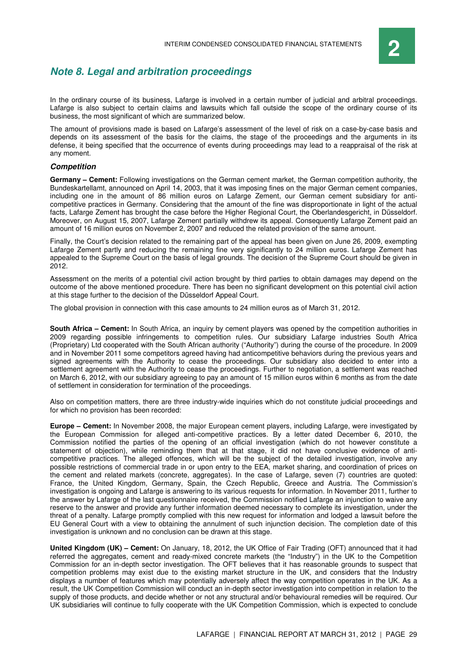## **Note 8. Legal and arbitration proceedings**

In the ordinary course of its business, Lafarge is involved in a certain number of judicial and arbitral proceedings. Lafarge is also subject to certain claims and lawsuits which fall outside the scope of the ordinary course of its business, the most significant of which are summarized below.

The amount of provisions made is based on Lafarge's assessment of the level of risk on a case-by-case basis and depends on its assessment of the basis for the claims, the stage of the proceedings and the arguments in its defense, it being specified that the occurrence of events during proceedings may lead to a reappraisal of the risk at any moment.

#### **Competition**

**Germany – Cement:** Following investigations on the German cement market, the German competition authority, the Bundeskartellamt, announced on April 14, 2003, that it was imposing fines on the major German cement companies, including one in the amount of 86 million euros on Lafarge Zement, our German cement subsidiary for anticompetitive practices in Germany. Considering that the amount of the fine was disproportionate in light of the actual facts, Lafarge Zement has brought the case before the Higher Regional Court, the Oberlandesgericht, in Düsseldorf. Moreover, on August 15, 2007, Lafarge Zement partially withdrew its appeal. Consequently Lafarge Zement paid an amount of 16 million euros on November 2, 2007 and reduced the related provision of the same amount.

Finally, the Court's decision related to the remaining part of the appeal has been given on June 26, 2009, exempting Lafarge Zement partly and reducing the remaining fine very significantly to 24 million euros. Lafarge Zement has appealed to the Supreme Court on the basis of legal grounds. The decision of the Supreme Court should be given in 2012.

Assessment on the merits of a potential civil action brought by third parties to obtain damages may depend on the outcome of the above mentioned procedure. There has been no significant development on this potential civil action at this stage further to the decision of the Düsseldorf Appeal Court.

The global provision in connection with this case amounts to 24 million euros as of March 31, 2012.

**South Africa – Cement:** In South Africa, an inquiry by cement players was opened by the competition authorities in 2009 regarding possible infringements to competition rules. Our subsidiary Lafarge industries South Africa (Proprietary) Ltd cooperated with the South African authority ("Authority") during the course of the procedure. In 2009 and in November 2011 some competitors agreed having had anticompetitive behaviors during the previous years and signed agreements with the Authority to cease the proceedings. Our subsidiary also decided to enter into a settlement agreement with the Authority to cease the proceedings. Further to negotiation, a settlement was reached on March 6, 2012, with our subsidiary agreeing to pay an amount of 15 million euros within 6 months as from the date of settlement in consideration for termination of the proceedings.

Also on competition matters, there are three industry-wide inquiries which do not constitute judicial proceedings and for which no provision has been recorded:

**Europe – Cement:** In November 2008, the major European cement players, including Lafarge, were investigated by the European Commission for alleged anti-competitive practices. By a letter dated December 6, 2010, the Commission notified the parties of the opening of an official investigation (which do not however constitute a statement of objection), while reminding them that at that stage, it did not have conclusive evidence of anticompetitive practices. The alleged offences, which will be the subject of the detailed investigation, involve any possible restrictions of commercial trade in or upon entry to the EEA, market sharing, and coordination of prices on the cement and related markets (concrete, aggregates). In the case of Lafarge, seven (7) countries are quoted: France, the United Kingdom, Germany, Spain, the Czech Republic, Greece and Austria. The Commission's investigation is ongoing and Lafarge is answering to its various requests for information. In November 2011, further to the answer by Lafarge of the last questionnaire received, the Commission notified Lafarge an injunction to waive any reserve to the answer and provide any further information deemed necessary to complete its investigation, under the threat of a penalty. Lafarge promptly complied with this new request for information and lodged a lawsuit before the EU General Court with a view to obtaining the annulment of such injunction decision. The completion date of this investigation is unknown and no conclusion can be drawn at this stage.

**United Kingdom (UK) – Cement:** On January, 18, 2012, the UK Office of Fair Trading (OFT) announced that it had referred the aggregates, cement and ready-mixed concrete markets (the "Industry") in the UK to the Competition Commission for an in-depth sector investigation. The OFT believes that it has reasonable grounds to suspect that competition problems may exist due to the existing market structure in the UK, and considers that the Industry displays a number of features which may potentially adversely affect the way competition operates in the UK. As a result, the UK Competition Commission will conduct an in-depth sector investigation into competition in relation to the supply of those products, and decide whether or not any structural and/or behavioural remedies will be required. Our UK subsidiaries will continue to fully cooperate with the UK Competition Commission, which is expected to conclude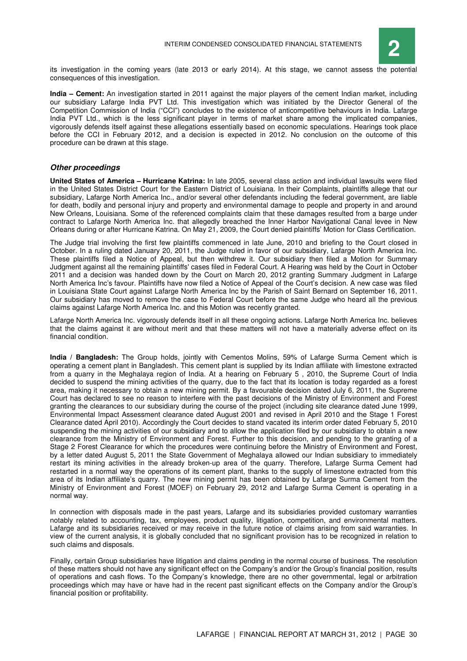

its investigation in the coming years (late 2013 or early 2014). At this stage, we cannot assess the potential consequences of this investigation.

**India – Cement:** An investigation started in 2011 against the major players of the cement Indian market, including our subsidiary Lafarge India PVT Ltd. This investigation which was initiated by the Director General of the Competition Commission of India ("CCI") concludes to the existence of anticompetitive behaviours in India. Lafarge India PVT Ltd., which is the less significant player in terms of market share among the implicated companies, vigorously defends itself against these allegations essentially based on economic speculations. Hearings took place before the CCI in February 2012, and a decision is expected in 2012. No conclusion on the outcome of this procedure can be drawn at this stage.

#### **Other proceedings**

**United States of America – Hurricane Katrina:** In late 2005, several class action and individual lawsuits were filed in the United States District Court for the Eastern District of Louisiana. In their Complaints, plaintiffs allege that our subsidiary, Lafarge North America Inc., and/or several other defendants including the federal government, are liable for death, bodily and personal injury and property and environmental damage to people and property in and around New Orleans, Louisiana. Some of the referenced complaints claim that these damages resulted from a barge under contract to Lafarge North America Inc. that allegedly breached the Inner Harbor Navigational Canal levee in New Orleans during or after Hurricane Katrina. On May 21, 2009, the Court denied plaintiffs' Motion for Class Certification.

The Judge trial involving the first few plaintiffs commenced in late June, 2010 and briefing to the Court closed in October. In a ruling dated January 20, 2011, the Judge ruled in favor of our subsidiary, Lafarge North America Inc. These plaintiffs filed a Notice of Appeal, but then withdrew it. Our subsidiary then filed a Motion for Summary Judgment against all the remaining plaintiffs' cases filed in Federal Court. A Hearing was held by the Court in October 2011 and a decision was handed down by the Court on March 20, 2012 granting Summary Judgment in Lafarge North America Inc's favour. Plaintiffs have now filed a Notice of Appeal of the Court's decision. A new case was filed in Louisiana State Court against Lafarge North America Inc by the Parish of Saint Bernard on September 16, 2011. Our subsidiary has moved to remove the case to Federal Court before the same Judge who heard all the previous claims against Lafarge North America Inc. and this Motion was recently granted.

Lafarge North America Inc. vigorously defends itself in all these ongoing actions. Lafarge North America Inc. believes that the claims against it are without merit and that these matters will not have a materially adverse effect on its financial condition.

**India / Bangladesh:** The Group holds, jointly with Cementos Molins, 59% of Lafarge Surma Cement which is operating a cement plant in Bangladesh. This cement plant is supplied by its Indian affiliate with limestone extracted from a quarry in the Meghalaya region of India. At a hearing on February 5 , 2010, the Supreme Court of India decided to suspend the mining activities of the quarry, due to the fact that its location is today regarded as a forest area, making it necessary to obtain a new mining permit. By a favourable decision dated July 6, 2011, the Supreme Court has declared to see no reason to interfere with the past decisions of the Ministry of Environment and Forest granting the clearances to our subsidiary during the course of the project (including site clearance dated June 1999, Environmental Impact Assessment clearance dated August 2001 and revised in April 2010 and the Stage 1 Forest Clearance dated April 2010). Accordingly the Court decides to stand vacated its interim order dated February 5, 2010 suspending the mining activities of our subsidiary and to allow the application filed by our subsidiary to obtain a new clearance from the Ministry of Environment and Forest. Further to this decision, and pending to the granting of a Stage 2 Forest Clearance for which the procedures were continuing before the Ministry of Environment and Forest, by a letter dated August 5, 2011 the State Government of Meghalaya allowed our Indian subsidiary to immediately restart its mining activities in the already broken-up area of the quarry. Therefore, Lafarge Surma Cement had restarted in a normal way the operations of its cement plant, thanks to the supply of limestone extracted from this area of its Indian affiliate's quarry. The new mining permit has been obtained by Lafarge Surma Cement from the Ministry of Environment and Forest (MOEF) on February 29, 2012 and Lafarge Surma Cement is operating in a normal way.

In connection with disposals made in the past years, Lafarge and its subsidiaries provided customary warranties notably related to accounting, tax, employees, product quality, litigation, competition, and environmental matters. Lafarge and its subsidiaries received or may receive in the future notice of claims arising from said warranties. In view of the current analysis, it is globally concluded that no significant provision has to be recognized in relation to such claims and disposals.

Finally, certain Group subsidiaries have litigation and claims pending in the normal course of business. The resolution of these matters should not have any significant effect on the Company's and/or the Group's financial position, results of operations and cash flows. To the Company's knowledge, there are no other governmental, legal or arbitration proceedings which may have or have had in the recent past significant effects on the Company and/or the Group's financial position or profitability.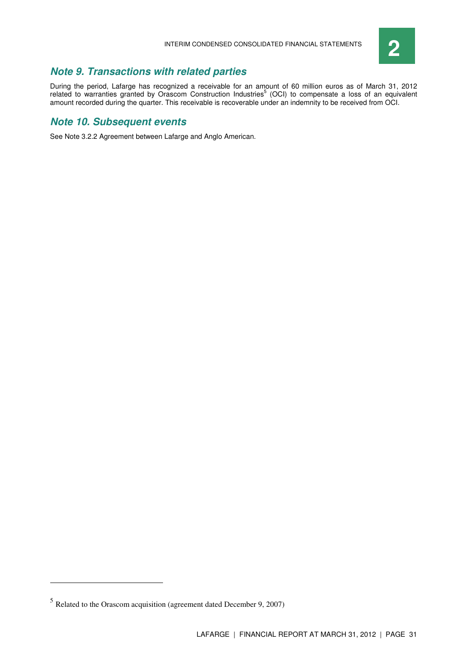

## **Note 9. Transactions with related parties**

During the period, Lafarge has recognized a receivable for an amount of 60 million euros as of March 31, 2012 related to warranties granted by Orascom Construction Industries<sup>5</sup> (OCI) to compensate a loss of an equivalent amount recorded during the quarter. This receivable is recoverable under an indemnity to be received from OCI.

## **Note 10. Subsequent events**

See Note 3.2.2 Agreement between Lafarge and Anglo American.

 $\overline{a}$ 

 $<sup>5</sup>$  Related to the Orascom acquisition (agreement dated December 9, 2007)</sup>